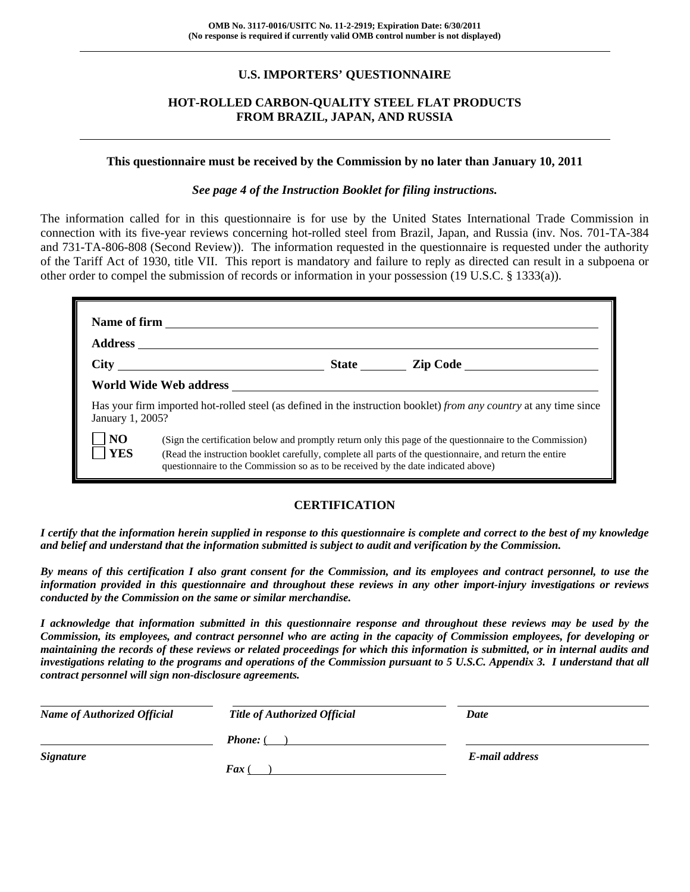### **U.S. IMPORTERS' QUESTIONNAIRE**

### **HOT-ROLLED CARBON-QUALITY STEEL FLAT PRODUCTS FROM BRAZIL, JAPAN, AND RUSSIA**

#### **This questionnaire must be received by the Commission by no later than January 10, 2011**

#### *See page 4 of the Instruction Booklet for filing instructions.*

The information called for in this questionnaire is for use by the United States International Trade Commission in connection with its five-year reviews concerning hot-rolled steel from Brazil, Japan, and Russia (inv. Nos. 701-TA-384 and 731-TA-806-808 (Second Review)). The information requested in the questionnaire is requested under the authority of the Tariff Act of 1930, title VII. This report is mandatory and failure to reply as directed can result in a subpoena or other order to compel the submission of records or information in your possession (19 U.S.C. § 1333(a)).

|                              |                                                                                   | State <u>Lip Code</u>                                                                                                                                                                                               |
|------------------------------|-----------------------------------------------------------------------------------|---------------------------------------------------------------------------------------------------------------------------------------------------------------------------------------------------------------------|
|                              | World Wide Web address                                                            |                                                                                                                                                                                                                     |
| January 1, 2005?             |                                                                                   | Has your firm imported hot-rolled steel (as defined in the instruction booklet) from any country at any time since                                                                                                  |
| N <sub>O</sub><br><b>YES</b> | questionnaire to the Commission so as to be received by the date indicated above) | (Sign the certification below and promptly return only this page of the questionnaire to the Commission)<br>(Read the instruction booklet carefully, complete all parts of the questionnaire, and return the entire |

### **CERTIFICATION**

*I certify that the information herein supplied in response to this questionnaire is complete and correct to the best of my knowledge and belief and understand that the information submitted is subject to audit and verification by the Commission.* 

*By means of this certification I also grant consent for the Commission, and its employees and contract personnel, to use the information provided in this questionnaire and throughout these reviews in any other import-injury investigations or reviews conducted by the Commission on the same or similar merchandise.* 

*I acknowledge that information submitted in this questionnaire response and throughout these reviews may be used by the Commission, its employees, and contract personnel who are acting in the capacity of Commission employees, for developing or maintaining the records of these reviews or related proceedings for which this information is submitted, or in internal audits and investigations relating to the programs and operations of the Commission pursuant to 5 U.S.C. Appendix 3. I understand that all contract personnel will sign non-disclosure agreements.* 

| <b>Name of Authorized Official</b> | <b>Title of Authorized Official</b> | Date           |
|------------------------------------|-------------------------------------|----------------|
|                                    | <b>Phone:</b> (                     |                |
| <b>Signature</b>                   |                                     | E-mail address |
|                                    | <b>Fax</b> (                        |                |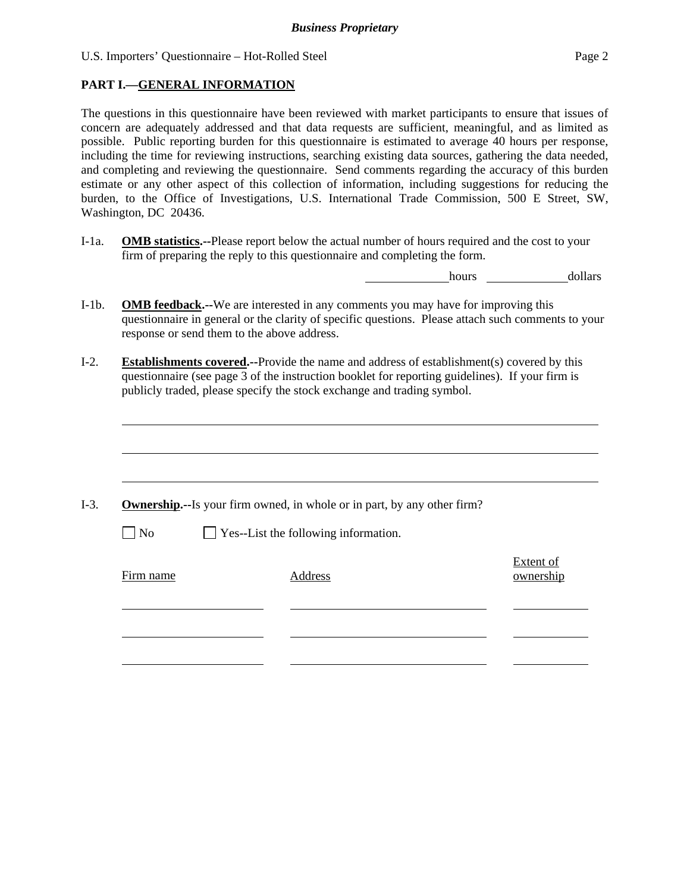#### **PART I.—GENERAL INFORMATION**

 $\overline{a}$ 

The questions in this questionnaire have been reviewed with market participants to ensure that issues of concern are adequately addressed and that data requests are sufficient, meaningful, and as limited as possible. Public reporting burden for this questionnaire is estimated to average 40 hours per response, including the time for reviewing instructions, searching existing data sources, gathering the data needed, and completing and reviewing the questionnaire. Send comments regarding the accuracy of this burden estimate or any other aspect of this collection of information, including suggestions for reducing the burden, to the Office of Investigations, U.S. International Trade Commission, 500 E Street, SW, Washington, DC 20436.

I-1a. **OMB statistics.--**Please report below the actual number of hours required and the cost to your firm of preparing the reply to this questionnaire and completing the form.

hours dollars

- I-1b. **OMB feedback.--**We are interested in any comments you may have for improving this questionnaire in general or the clarity of specific questions. Please attach such comments to your response or send them to the above address.
- I-2. **Establishments covered.--**Provide the name and address of establishment(s) covered by this questionnaire (see page 3 of the instruction booklet for reporting guidelines). If your firm is publicly traded, please specify the stock exchange and trading symbol.

|                   | <b>Ownership.</b> --Is your firm owned, in whole or in part, by any other firm? |                        |
|-------------------|---------------------------------------------------------------------------------|------------------------|
| $\blacksquare$ No | $\Box$ Yes--List the following information.                                     |                        |
| Firm name         | Address                                                                         | Extent of<br>ownership |
|                   |                                                                                 |                        |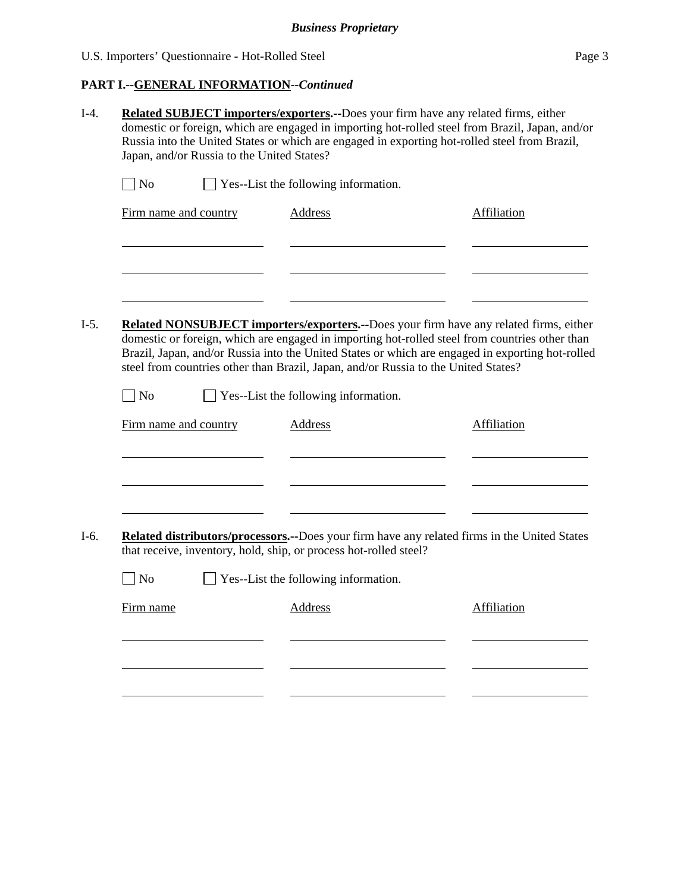# **PART I.--GENERAL INFORMATION***--Continued*

| $\Box$ No             | $\Box$ Yes--List the following information.                                        |                                                                                                                                                                                                                                                                                              |
|-----------------------|------------------------------------------------------------------------------------|----------------------------------------------------------------------------------------------------------------------------------------------------------------------------------------------------------------------------------------------------------------------------------------------|
| Firm name and country | <b>Address</b>                                                                     | <b>Affiliation</b>                                                                                                                                                                                                                                                                           |
|                       |                                                                                    |                                                                                                                                                                                                                                                                                              |
|                       | steel from countries other than Brazil, Japan, and/or Russia to the United States? | Related NONSUBJECT importers/exporters.--Does your firm have any related firms, either<br>domestic or foreign, which are engaged in importing hot-rolled steel from countries other than<br>Brazil, Japan, and/or Russia into the United States or which are engaged in exporting hot-rolled |
| No                    | Yes--List the following information.                                               |                                                                                                                                                                                                                                                                                              |
|                       |                                                                                    |                                                                                                                                                                                                                                                                                              |
| Firm name and country | <b>Address</b>                                                                     | Affiliation                                                                                                                                                                                                                                                                                  |
|                       |                                                                                    |                                                                                                                                                                                                                                                                                              |
|                       |                                                                                    |                                                                                                                                                                                                                                                                                              |
|                       |                                                                                    | Related distributors/processors.--Does your firm have any related firms in the United States                                                                                                                                                                                                 |
|                       | that receive, inventory, hold, ship, or process hot-rolled steel?                  |                                                                                                                                                                                                                                                                                              |
| No                    | Yes--List the following information.                                               |                                                                                                                                                                                                                                                                                              |
| Firm name             | Address                                                                            | Affiliation                                                                                                                                                                                                                                                                                  |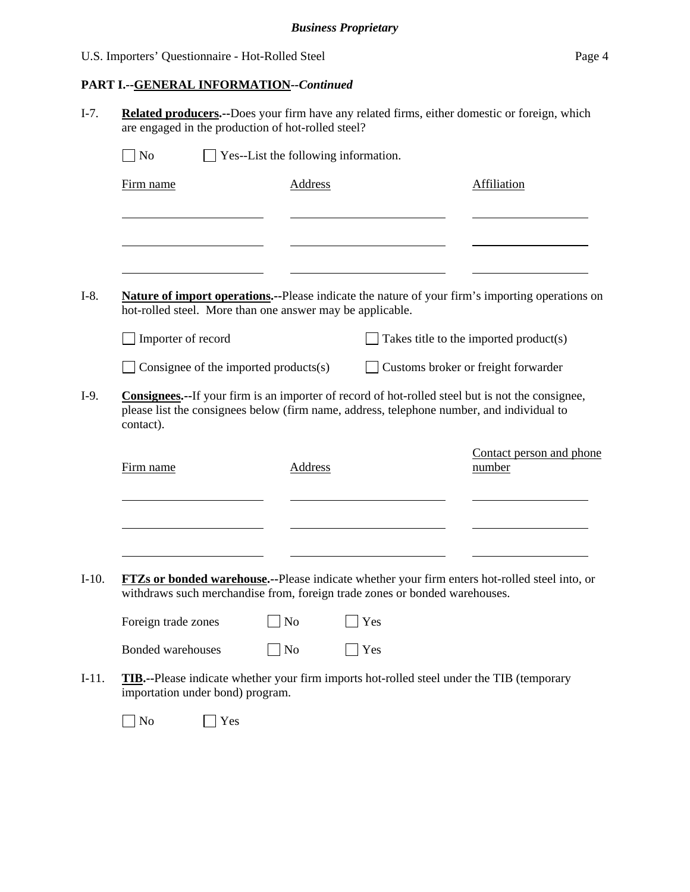### **PART I.--GENERAL INFORMATION***--Continued*

I-7. **Related producers.--**Does your firm have any related firms, either domestic or foreign, which are engaged in the production of hot-rolled steel?

| Firm name                                                                                         | <b>Address</b> |             | <b>Affiliation</b>                                                                              |
|---------------------------------------------------------------------------------------------------|----------------|-------------|-------------------------------------------------------------------------------------------------|
|                                                                                                   |                |             |                                                                                                 |
|                                                                                                   |                |             |                                                                                                 |
| hot-rolled steel. More than one answer may be applicable.                                         |                |             | Nature of import operations.--Please indicate the nature of your firm's importing operations on |
| Importer of record                                                                                |                |             | Takes title to the imported product(s)                                                          |
| Consignee of the imported products $(s)$                                                          |                |             | Customs broker or freight forwarder                                                             |
| contact).                                                                                         |                |             | please list the consignees below (firm name, address, telephone number, and individual to       |
| Firm name                                                                                         | <b>Address</b> |             | Contact person and phone<br>number                                                              |
|                                                                                                   |                |             |                                                                                                 |
|                                                                                                   |                |             | FTZs or bonded warehouse.--Please indicate whether your firm enters hot-rolled steel into, or   |
| withdraws such merchandise from, foreign trade zones or bonded warehouses.<br>Foreign trade zones | N <sub>o</sub> | $\vert$ Yes |                                                                                                 |

No Yes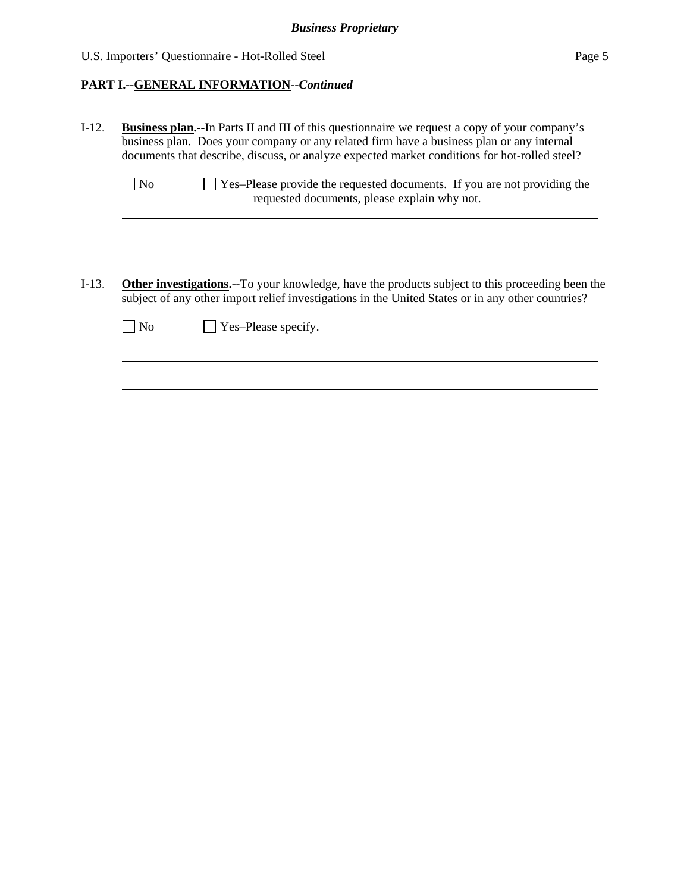# **PART I.--GENERAL INFORMATION***--Continued*

| $I-12.$  |                | <b>Business plan.--In Parts II and III of this questionnaire we request a copy of your company's</b><br>business plan. Does your company or any related firm have a business plan or any internal<br>documents that describe, discuss, or analyze expected market conditions for hot-rolled steel? |
|----------|----------------|----------------------------------------------------------------------------------------------------------------------------------------------------------------------------------------------------------------------------------------------------------------------------------------------------|
|          | N <sub>o</sub> | Yes-Please provide the requested documents. If you are not providing the<br>requested documents, please explain why not.                                                                                                                                                                           |
|          |                |                                                                                                                                                                                                                                                                                                    |
| $I-13$ . |                | <b>Other investigations.--To your knowledge, have the products subject to this proceeding been the</b><br>subject of any other import relief investigations in the United States or in any other countries?                                                                                        |
|          | N <sub>0</sub> | Yes-Please specify.                                                                                                                                                                                                                                                                                |
|          |                |                                                                                                                                                                                                                                                                                                    |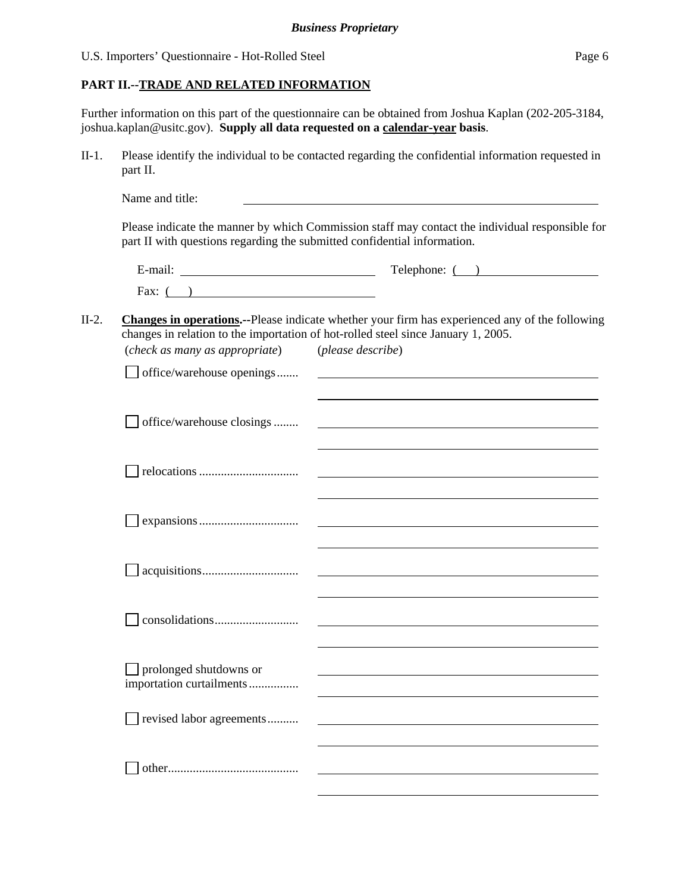### **PART II.--TRADE AND RELATED INFORMATION**

Further information on this part of the questionnaire can be obtained from Joshua Kaplan (202-205-3184, joshua.kaplan@usitc.gov). **Supply all data requested on a calendar-year basis**.

II-1. Please identify the individual to be contacted regarding the confidential information requested in part II.

|                                                    | $\text{Telephone: } ($ $)$                                                                             |
|----------------------------------------------------|--------------------------------------------------------------------------------------------------------|
| Fax: $($ )                                         |                                                                                                        |
|                                                    | <b>Changes in operations.</b> --Please indicate whether your firm has experienced any of the following |
| (check as many as appropriate) (please describe)   | changes in relation to the importation of hot-rolled steel since January 1, 2005.                      |
| $\Box$ office/warehouse openings                   | <u> 1989 - Andrea Barbara, poeta esperanto-</u>                                                        |
|                                                    |                                                                                                        |
| office/warehouse closings                          |                                                                                                        |
|                                                    |                                                                                                        |
|                                                    | <u> 1980 - Jan Stein, amerikansk politiker (d. 1980)</u>                                               |
|                                                    |                                                                                                        |
|                                                    |                                                                                                        |
|                                                    |                                                                                                        |
| prolonged shutdowns or<br>importation curtailments |                                                                                                        |
| revised labor agreements                           |                                                                                                        |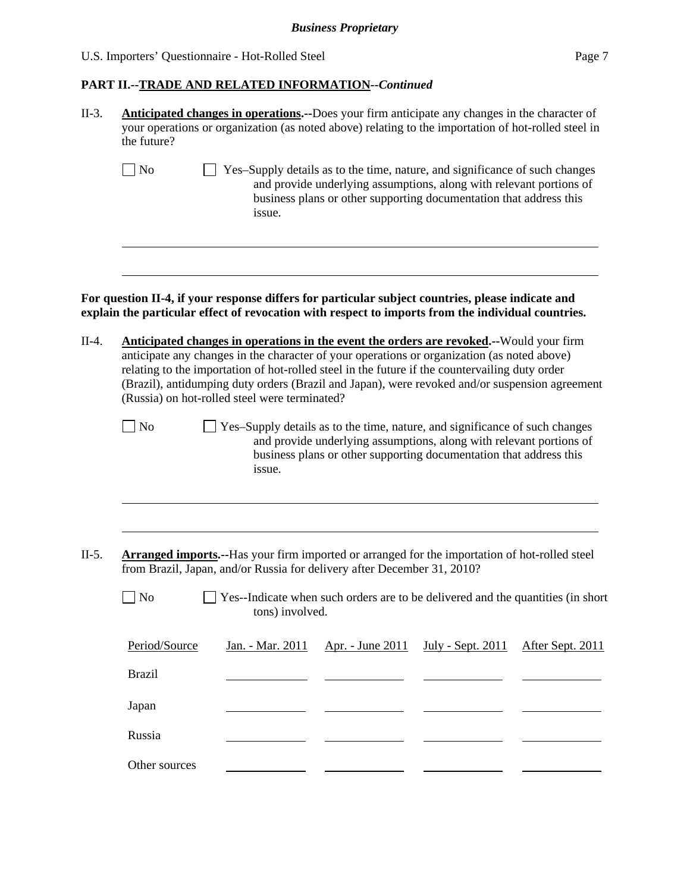#### **PART II.--TRADE AND RELATED INFORMATION***--Continued*

| $II-3.$ | <b>Anticipated changes in operations.</b> --Does your firm anticipate any changes in the character of |
|---------|-------------------------------------------------------------------------------------------------------|
|         | your operations or organization (as noted above) relating to the importation of hot-rolled steel in   |
|         | the future?                                                                                           |

No Supply details as to the time, nature, and significance of such changes and provide underlying assumptions, along with relevant portions of business plans or other supporting documentation that address this issue.

**For question II-4, if your response differs for particular subject countries, please indicate and explain the particular effect of revocation with respect to imports from the individual countries.** 

- II-4. **Anticipated changes in operations in the event the orders are revoked.--**Would your firm anticipate any changes in the character of your operations or organization (as noted above) relating to the importation of hot-rolled steel in the future if the countervailing duty order (Brazil), antidumping duty orders (Brazil and Japan), were revoked and/or suspension agreement (Russia) on hot-rolled steel were terminated?
	-

l

l

- No Yes–Supply details as to the time, nature, and significance of such changes and provide underlying assumptions, along with relevant portions of business plans or other supporting documentation that address this issue.
- II-5. **Arranged imports.--**Has your firm imported or arranged for the importation of hot-rolled steel from Brazil, Japan, and/or Russia for delivery after December 31, 2010?

 $\Box$  No  $\Box$  Yes--Indicate when such orders are to be delivered and the quantities (in short tons) involved.

| Period/Source | <u>Jan. - Mar. 2011 Apr. - June 2011 July - Sept. 2011 After Sept. 2011</u> |  |
|---------------|-----------------------------------------------------------------------------|--|
| <b>Brazil</b> |                                                                             |  |
| Japan         |                                                                             |  |
| Russia        |                                                                             |  |
| Other sources |                                                                             |  |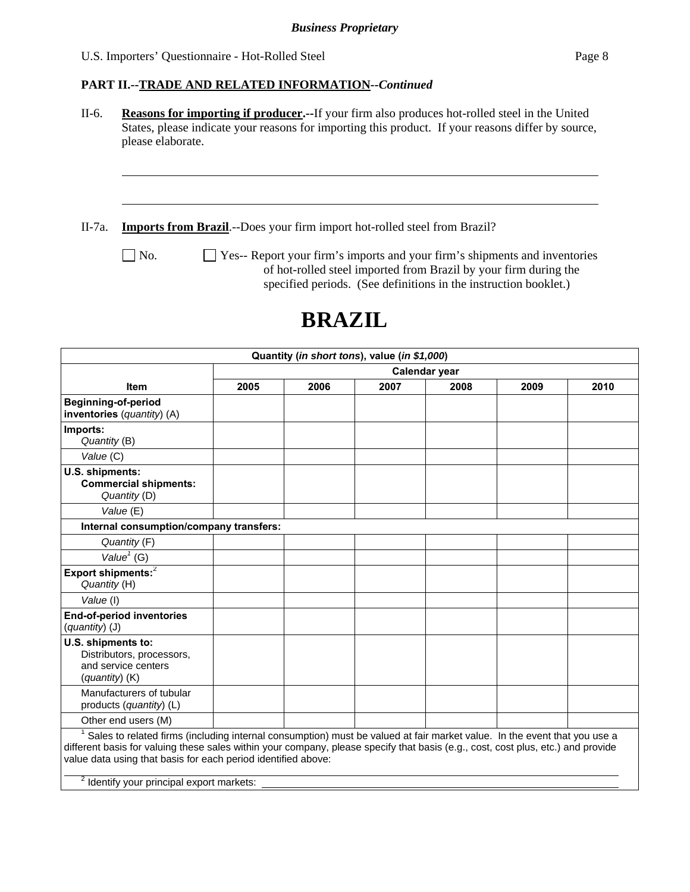l

#### **PART II.--TRADE AND RELATED INFORMATION***--Continued*

II-6. **Reasons for importing if producer.--**If your firm also produces hot-rolled steel in the United States, please indicate your reasons for importing this product. If your reasons differ by source, please elaborate.

II-7a. **Imports from Brazil**.--Does your firm import hot-rolled steel from Brazil?

No.  $\Box$  Yes-- Report your firm's imports and your firm's shipments and inventories of hot-rolled steel imported from Brazil by your firm during the specified periods. (See definitions in the instruction booklet.)

# **BRAZIL**

|                                                                                                                                                                                                                                                                                                                                            |               | Quantity (in short tons), value (in \$1,000) |      |      |      |      |
|--------------------------------------------------------------------------------------------------------------------------------------------------------------------------------------------------------------------------------------------------------------------------------------------------------------------------------------------|---------------|----------------------------------------------|------|------|------|------|
|                                                                                                                                                                                                                                                                                                                                            | Calendar year |                                              |      |      |      |      |
| <b>Item</b>                                                                                                                                                                                                                                                                                                                                | 2005          | 2006                                         | 2007 | 2008 | 2009 | 2010 |
| <b>Beginning-of-period</b><br>inventories (quantity) (A)                                                                                                                                                                                                                                                                                   |               |                                              |      |      |      |      |
| Imports:<br>Quantity (B)                                                                                                                                                                                                                                                                                                                   |               |                                              |      |      |      |      |
| Value (C)                                                                                                                                                                                                                                                                                                                                  |               |                                              |      |      |      |      |
| U.S. shipments:<br><b>Commercial shipments:</b><br>Quantity (D)                                                                                                                                                                                                                                                                            |               |                                              |      |      |      |      |
| Value (E)                                                                                                                                                                                                                                                                                                                                  |               |                                              |      |      |      |      |
| Internal consumption/company transfers:                                                                                                                                                                                                                                                                                                    |               |                                              |      |      |      |      |
| Quantity (F)                                                                                                                                                                                                                                                                                                                               |               |                                              |      |      |      |      |
| Value $1$ (G)                                                                                                                                                                                                                                                                                                                              |               |                                              |      |      |      |      |
| Export shipments: <sup>2</sup><br>Quantity (H)                                                                                                                                                                                                                                                                                             |               |                                              |      |      |      |      |
| Value (I)                                                                                                                                                                                                                                                                                                                                  |               |                                              |      |      |      |      |
| <b>End-of-period inventories</b><br>(quantity) (J)                                                                                                                                                                                                                                                                                         |               |                                              |      |      |      |      |
| U.S. shipments to:<br>Distributors, processors,<br>and service centers<br>(quantity) (K)                                                                                                                                                                                                                                                   |               |                                              |      |      |      |      |
| Manufacturers of tubular<br>products (quantity) (L)                                                                                                                                                                                                                                                                                        |               |                                              |      |      |      |      |
| Other end users (M)                                                                                                                                                                                                                                                                                                                        |               |                                              |      |      |      |      |
| <sup>1</sup> Sales to related firms (including internal consumption) must be valued at fair market value. In the event that you use a<br>different basis for valuing these sales within your company, please specify that basis (e.g., cost, cost plus, etc.) and provide<br>value data using that basis for each period identified above: |               |                                              |      |      |      |      |
| <sup>2</sup> Identify your principal export markets:                                                                                                                                                                                                                                                                                       |               |                                              |      |      |      |      |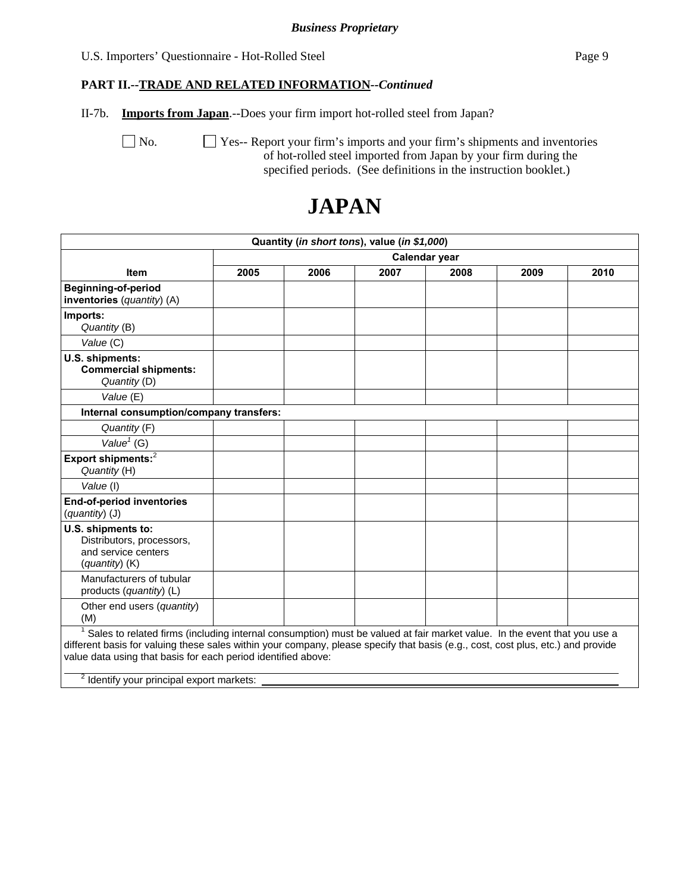#### *Business Proprietary*

#### U.S. Importers' Questionnaire - Hot-Rolled Steel Page 9

#### **PART II.--TRADE AND RELATED INFORMATION***--Continued*

II-7b. **Imports from Japan**.--Does your firm import hot-rolled steel from Japan?

No.  $\Box$  Yes-- Report your firm's imports and your firm's shipments and inventories of hot-rolled steel imported from Japan by your firm during the specified periods. (See definitions in the instruction booklet.)

# **JAPAN**

| Quantity (in short tons), value (in \$1,000)                                                                                                                                                                                                                                                                                                                                           |               |      |      |      |      |      |  |
|----------------------------------------------------------------------------------------------------------------------------------------------------------------------------------------------------------------------------------------------------------------------------------------------------------------------------------------------------------------------------------------|---------------|------|------|------|------|------|--|
|                                                                                                                                                                                                                                                                                                                                                                                        | Calendar year |      |      |      |      |      |  |
| <b>Item</b>                                                                                                                                                                                                                                                                                                                                                                            | 2005          | 2006 | 2007 | 2008 | 2009 | 2010 |  |
| <b>Beginning-of-period</b><br>inventories (quantity) (A)                                                                                                                                                                                                                                                                                                                               |               |      |      |      |      |      |  |
| Imports:<br>Quantity (B)                                                                                                                                                                                                                                                                                                                                                               |               |      |      |      |      |      |  |
| Value (C)                                                                                                                                                                                                                                                                                                                                                                              |               |      |      |      |      |      |  |
| U.S. shipments:<br><b>Commercial shipments:</b><br>Quantity (D)                                                                                                                                                                                                                                                                                                                        |               |      |      |      |      |      |  |
| Value (E)                                                                                                                                                                                                                                                                                                                                                                              |               |      |      |      |      |      |  |
| Internal consumption/company transfers:                                                                                                                                                                                                                                                                                                                                                |               |      |      |      |      |      |  |
| Quantity (F)                                                                                                                                                                                                                                                                                                                                                                           |               |      |      |      |      |      |  |
| Value $1$ (G)                                                                                                                                                                                                                                                                                                                                                                          |               |      |      |      |      |      |  |
| Export shipments: <sup>2</sup><br>Quantity (H)                                                                                                                                                                                                                                                                                                                                         |               |      |      |      |      |      |  |
| Value (I)                                                                                                                                                                                                                                                                                                                                                                              |               |      |      |      |      |      |  |
| <b>End-of-period inventories</b><br>(quantity) (J)                                                                                                                                                                                                                                                                                                                                     |               |      |      |      |      |      |  |
| U.S. shipments to:<br>Distributors, processors,<br>and service centers<br>(quantity) (K)                                                                                                                                                                                                                                                                                               |               |      |      |      |      |      |  |
| Manufacturers of tubular<br>products (quantity) (L)                                                                                                                                                                                                                                                                                                                                    |               |      |      |      |      |      |  |
| Other end users (quantity)<br>(M)                                                                                                                                                                                                                                                                                                                                                      |               |      |      |      |      |      |  |
| Sales to related firms (including internal consumption) must be valued at fair market value. In the event that you use a<br>different basis for valuing these sales within your company, please specify that basis (e.g., cost, cost plus, etc.) and provide<br>value data using that basis for each period identified above:<br>$\frac{2}{3}$ Identify your principal export markets: |               |      |      |      |      |      |  |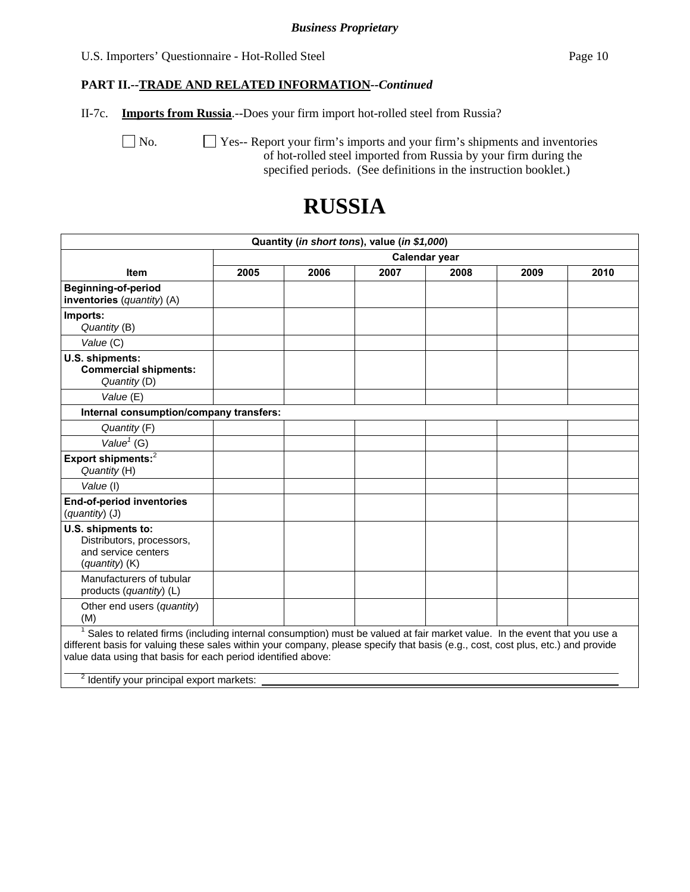#### *Business Proprietary*

#### U.S. Importers' Questionnaire - Hot-Rolled Steel Page 10

#### **PART II.--TRADE AND RELATED INFORMATION***--Continued*

II-7c. **Imports from Russia**.--Does your firm import hot-rolled steel from Russia?

No.  $\Box$  Yes-- Report your firm's imports and your firm's shipments and inventories of hot-rolled steel imported from Russia by your firm during the specified periods. (See definitions in the instruction booklet.)

# **RUSSIA**

| Quantity (in short tons), value (in \$1,000)                                                                                                                                                                                                                                                                                                                                           |      |               |      |      |      |      |  |
|----------------------------------------------------------------------------------------------------------------------------------------------------------------------------------------------------------------------------------------------------------------------------------------------------------------------------------------------------------------------------------------|------|---------------|------|------|------|------|--|
|                                                                                                                                                                                                                                                                                                                                                                                        |      | Calendar year |      |      |      |      |  |
| <b>Item</b>                                                                                                                                                                                                                                                                                                                                                                            | 2005 | 2006          | 2007 | 2008 | 2009 | 2010 |  |
| <b>Beginning-of-period</b><br>inventories (quantity) (A)                                                                                                                                                                                                                                                                                                                               |      |               |      |      |      |      |  |
| Imports:<br>Quantity (B)                                                                                                                                                                                                                                                                                                                                                               |      |               |      |      |      |      |  |
| Value (C)                                                                                                                                                                                                                                                                                                                                                                              |      |               |      |      |      |      |  |
| U.S. shipments:<br><b>Commercial shipments:</b><br>Quantity (D)                                                                                                                                                                                                                                                                                                                        |      |               |      |      |      |      |  |
| Value (E)                                                                                                                                                                                                                                                                                                                                                                              |      |               |      |      |      |      |  |
| Internal consumption/company transfers:                                                                                                                                                                                                                                                                                                                                                |      |               |      |      |      |      |  |
| Quantity (F)                                                                                                                                                                                                                                                                                                                                                                           |      |               |      |      |      |      |  |
| Value $1$ (G)                                                                                                                                                                                                                                                                                                                                                                          |      |               |      |      |      |      |  |
| Export shipments: <sup>2</sup><br>Quantity (H)                                                                                                                                                                                                                                                                                                                                         |      |               |      |      |      |      |  |
| Value (I)                                                                                                                                                                                                                                                                                                                                                                              |      |               |      |      |      |      |  |
| End-of-period inventories<br>(quantity) (J)                                                                                                                                                                                                                                                                                                                                            |      |               |      |      |      |      |  |
| U.S. shipments to:<br>Distributors, processors,<br>and service centers<br>(quantity) (K)                                                                                                                                                                                                                                                                                               |      |               |      |      |      |      |  |
| Manufacturers of tubular<br>products (quantity) (L)                                                                                                                                                                                                                                                                                                                                    |      |               |      |      |      |      |  |
| Other end users (quantity)<br>(M)                                                                                                                                                                                                                                                                                                                                                      |      |               |      |      |      |      |  |
| Sales to related firms (including internal consumption) must be valued at fair market value. In the event that you use a<br>different basis for valuing these sales within your company, please specify that basis (e.g., cost, cost plus, etc.) and provide<br>value data using that basis for each period identified above:<br>$\frac{2}{3}$ Identify your principal export markets: |      |               |      |      |      |      |  |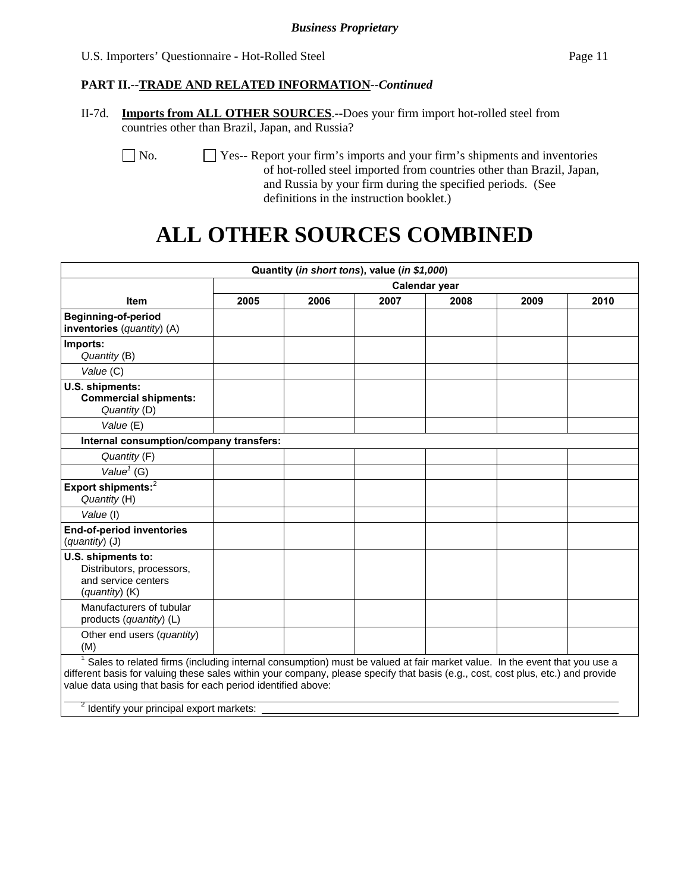#### **PART II.--TRADE AND RELATED INFORMATION***--Continued*

II-7d. **Imports from ALL OTHER SOURCES**.--Does your firm import hot-rolled steel from countries other than Brazil, Japan, and Russia?

No.  $\Box$  Yes-- Report your firm's imports and your firm's shipments and inventories of hot-rolled steel imported from countries other than Brazil, Japan, and Russia by your firm during the specified periods. (See definitions in the instruction booklet.)

# **ALL OTHER SOURCES COMBINED**

|                                                                                                                                                                                                                                                                                                                                                                                                    |      |               | Quantity (in short tons), value (in \$1,000) |      |      |      |  |
|----------------------------------------------------------------------------------------------------------------------------------------------------------------------------------------------------------------------------------------------------------------------------------------------------------------------------------------------------------------------------------------------------|------|---------------|----------------------------------------------|------|------|------|--|
|                                                                                                                                                                                                                                                                                                                                                                                                    |      | Calendar year |                                              |      |      |      |  |
| <b>Item</b>                                                                                                                                                                                                                                                                                                                                                                                        | 2005 | 2006          | 2007                                         | 2008 | 2009 | 2010 |  |
| <b>Beginning-of-period</b><br>inventories (quantity) (A)                                                                                                                                                                                                                                                                                                                                           |      |               |                                              |      |      |      |  |
| Imports:<br>Quantity (B)                                                                                                                                                                                                                                                                                                                                                                           |      |               |                                              |      |      |      |  |
| Value (C)                                                                                                                                                                                                                                                                                                                                                                                          |      |               |                                              |      |      |      |  |
| U.S. shipments:<br><b>Commercial shipments:</b><br>Quantity (D)                                                                                                                                                                                                                                                                                                                                    |      |               |                                              |      |      |      |  |
| Value (E)                                                                                                                                                                                                                                                                                                                                                                                          |      |               |                                              |      |      |      |  |
| Internal consumption/company transfers:                                                                                                                                                                                                                                                                                                                                                            |      |               |                                              |      |      |      |  |
| Quantity (F)                                                                                                                                                                                                                                                                                                                                                                                       |      |               |                                              |      |      |      |  |
| Value <sup>1</sup> (G)                                                                                                                                                                                                                                                                                                                                                                             |      |               |                                              |      |      |      |  |
| Export shipments: <sup>2</sup><br>Quantity (H)                                                                                                                                                                                                                                                                                                                                                     |      |               |                                              |      |      |      |  |
| Value (I)                                                                                                                                                                                                                                                                                                                                                                                          |      |               |                                              |      |      |      |  |
| <b>End-of-period inventories</b><br>(quantity) (J)                                                                                                                                                                                                                                                                                                                                                 |      |               |                                              |      |      |      |  |
| U.S. shipments to:<br>Distributors, processors,<br>and service centers<br>(quantity) (K)                                                                                                                                                                                                                                                                                                           |      |               |                                              |      |      |      |  |
| Manufacturers of tubular<br>products (quantity) (L)                                                                                                                                                                                                                                                                                                                                                |      |               |                                              |      |      |      |  |
| Other end users (quantity)<br>(M)                                                                                                                                                                                                                                                                                                                                                                  |      |               |                                              |      |      |      |  |
| <sup>1</sup> Sales to related firms (including internal consumption) must be valued at fair market value. In the event that you use a<br>different basis for valuing these sales within your company, please specify that basis (e.g., cost, cost plus, etc.) and provide<br>value data using that basis for each period identified above:<br><sup>2</sup> Identify your principal export markets: |      |               |                                              |      |      |      |  |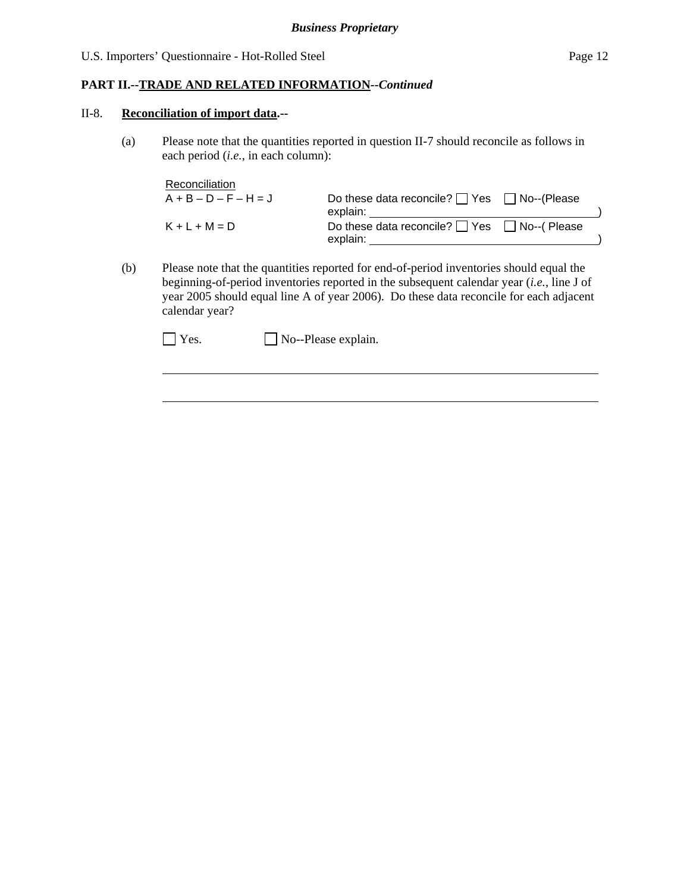#### **PART II.--TRADE AND RELATED INFORMATION***--Continued*

#### II-8. **Reconciliation of import data.--**

l

(a) Please note that the quantities reported in question II-7 should reconcile as follows in each period (*i.e.*, in each column):

| Reconciliation          |                                                        |  |
|-------------------------|--------------------------------------------------------|--|
| $A + B - D - F - H = J$ | Do these data reconcile? $\Box$ Yes $\Box$ No--(Please |  |
|                         | explain:                                               |  |
| $K + L + M = D$         | Do these data reconcile? $\Box$ Yes $\Box$ No--(Please |  |
|                         | explain:                                               |  |

(b) Please note that the quantities reported for end-of-period inventories should equal the beginning-of-period inventories reported in the subsequent calendar year (*i.e.*, line J of year 2005 should equal line A of year 2006). Do these data reconcile for each adjacent calendar year?

 $\Box$  Yes.  $\Box$  No--Please explain.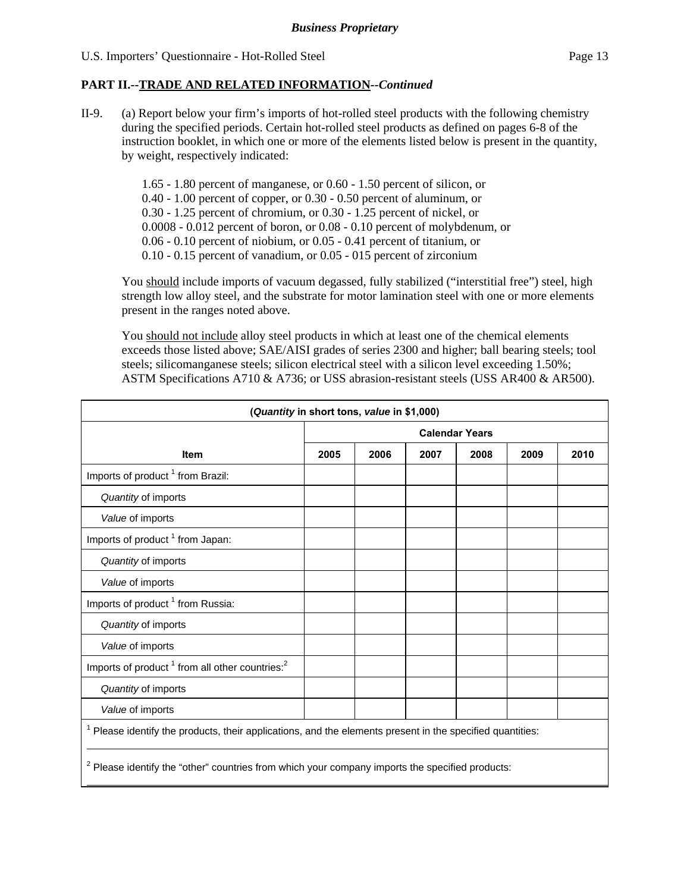#### **PART II.--TRADE AND RELATED INFORMATION***--Continued*

II-9. (a) Report below your firm's imports of hot-rolled steel products with the following chemistry during the specified periods. Certain hot-rolled steel products as defined on pages 6-8 of the instruction booklet, in which one or more of the elements listed below is present in the quantity, by weight, respectively indicated:

> 1.65 - 1.80 percent of manganese, or 0.60 - 1.50 percent of silicon, or 0.40 - 1.00 percent of copper, or 0.30 - 0.50 percent of aluminum, or 0.30 - 1.25 percent of chromium, or 0.30 - 1.25 percent of nickel, or 0.0008 - 0.012 percent of boron, or 0.08 - 0.10 percent of molybdenum, or 0.06 - 0.10 percent of niobium, or 0.05 - 0.41 percent of titanium, or 0.10 - 0.15 percent of vanadium, or 0.05 - 015 percent of zirconium

You should include imports of vacuum degassed, fully stabilized ("interstitial free") steel, high strength low alloy steel, and the substrate for motor lamination steel with one or more elements present in the ranges noted above.

You should not include alloy steel products in which at least one of the chemical elements exceeds those listed above; SAE/AISI grades of series 2300 and higher; ball bearing steels; tool steels; silicomanganese steels; silicon electrical steel with a silicon level exceeding 1.50%; ASTM Specifications A710 & A736; or USS abrasion-resistant steels (USS AR400 & AR500).

| (Quantity in short tons, value in \$1,000)                                                                  |                       |      |      |      |      |      |
|-------------------------------------------------------------------------------------------------------------|-----------------------|------|------|------|------|------|
|                                                                                                             | <b>Calendar Years</b> |      |      |      |      |      |
| <b>Item</b>                                                                                                 | 2005                  | 2006 | 2007 | 2008 | 2009 | 2010 |
| Imports of product <sup>1</sup> from Brazil:                                                                |                       |      |      |      |      |      |
| Quantity of imports                                                                                         |                       |      |      |      |      |      |
| Value of imports                                                                                            |                       |      |      |      |      |      |
| Imports of product <sup>1</sup> from Japan:                                                                 |                       |      |      |      |      |      |
| Quantity of imports                                                                                         |                       |      |      |      |      |      |
| Value of imports                                                                                            |                       |      |      |      |      |      |
| Imports of product <sup>1</sup> from Russia:                                                                |                       |      |      |      |      |      |
| Quantity of imports                                                                                         |                       |      |      |      |      |      |
| Value of imports                                                                                            |                       |      |      |      |      |      |
| Imports of product <sup>1</sup> from all other countries: <sup>2</sup>                                      |                       |      |      |      |      |      |
| Quantity of imports                                                                                         |                       |      |      |      |      |      |
| Value of imports                                                                                            |                       |      |      |      |      |      |
| $1$ Please identify the products, their applications, and the elements present in the specified quantities: |                       |      |      |      |      |      |
| <sup>2</sup> Please identify the "other" countries from which your company imports the specified products:  |                       |      |      |      |      |      |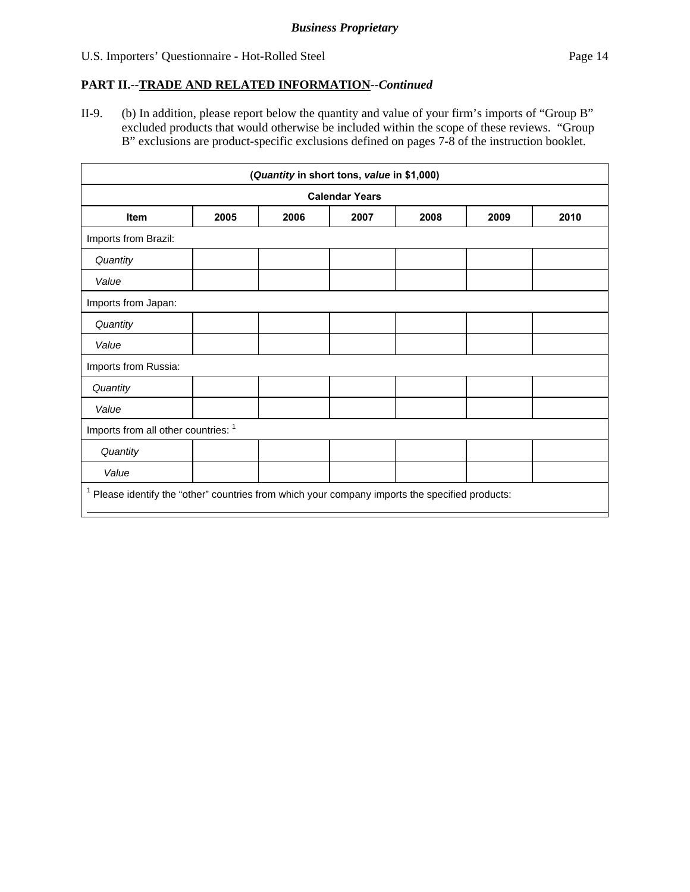#### **PART II.--TRADE AND RELATED INFORMATION***--Continued*

II-9. (b) In addition, please report below the quantity and value of your firm's imports of "Group B" excluded products that would otherwise be included within the scope of these reviews. "Group B" exclusions are product-specific exclusions defined on pages 7-8 of the instruction booklet.

| (Quantity in short tons, value in \$1,000)                                                        |                       |      |      |      |      |      |  |  |
|---------------------------------------------------------------------------------------------------|-----------------------|------|------|------|------|------|--|--|
|                                                                                                   | <b>Calendar Years</b> |      |      |      |      |      |  |  |
| <b>Item</b>                                                                                       | 2005                  | 2006 | 2007 | 2008 | 2009 | 2010 |  |  |
| Imports from Brazil:                                                                              |                       |      |      |      |      |      |  |  |
| Quantity                                                                                          |                       |      |      |      |      |      |  |  |
| Value                                                                                             |                       |      |      |      |      |      |  |  |
| Imports from Japan:                                                                               |                       |      |      |      |      |      |  |  |
| Quantity                                                                                          |                       |      |      |      |      |      |  |  |
| Value                                                                                             |                       |      |      |      |      |      |  |  |
| Imports from Russia:                                                                              |                       |      |      |      |      |      |  |  |
| Quantity                                                                                          |                       |      |      |      |      |      |  |  |
| Value                                                                                             |                       |      |      |      |      |      |  |  |
| Imports from all other countries: 1                                                               |                       |      |      |      |      |      |  |  |
| Quantity                                                                                          |                       |      |      |      |      |      |  |  |
| Value                                                                                             |                       |      |      |      |      |      |  |  |
| $1$ Please identify the "other" countries from which your company imports the specified products: |                       |      |      |      |      |      |  |  |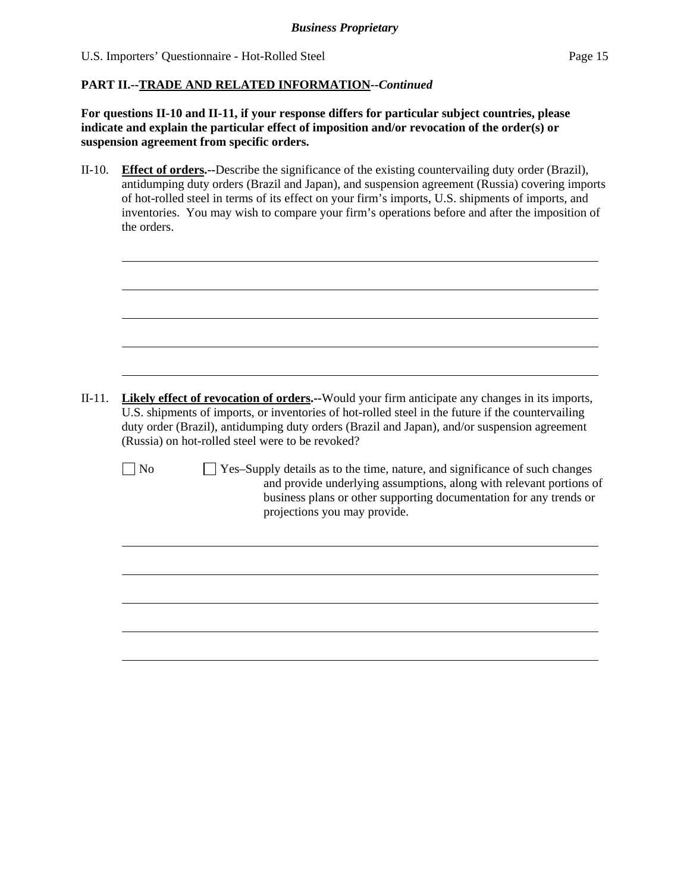$\overline{a}$ 

#### **PART II.--TRADE AND RELATED INFORMATION***--Continued*

**For questions II-10 and II-11, if your response differs for particular subject countries, please indicate and explain the particular effect of imposition and/or revocation of the order(s) or suspension agreement from specific orders.**

- II-10. **Effect of orders.--**Describe the significance of the existing countervailing duty order (Brazil), antidumping duty orders (Brazil and Japan), and suspension agreement (Russia) covering imports of hot-rolled steel in terms of its effect on your firm's imports, U.S. shipments of imports, and inventories. You may wish to compare your firm's operations before and after the imposition of the orders.
- II-11. **Likely effect of revocation of orders.--**Would your firm anticipate any changes in its imports, U.S. shipments of imports, or inventories of hot-rolled steel in the future if the countervailing duty order (Brazil), antidumping duty orders (Brazil and Japan), and/or suspension agreement (Russia) on hot-rolled steel were to be revoked?  $\Box$  No  $\Box$  Yes–Supply details as to the time, nature, and significance of such changes and provide underlying assumptions, along with relevant portions of business plans or other supporting documentation for any trends or projections you may provide.  $\overline{a}$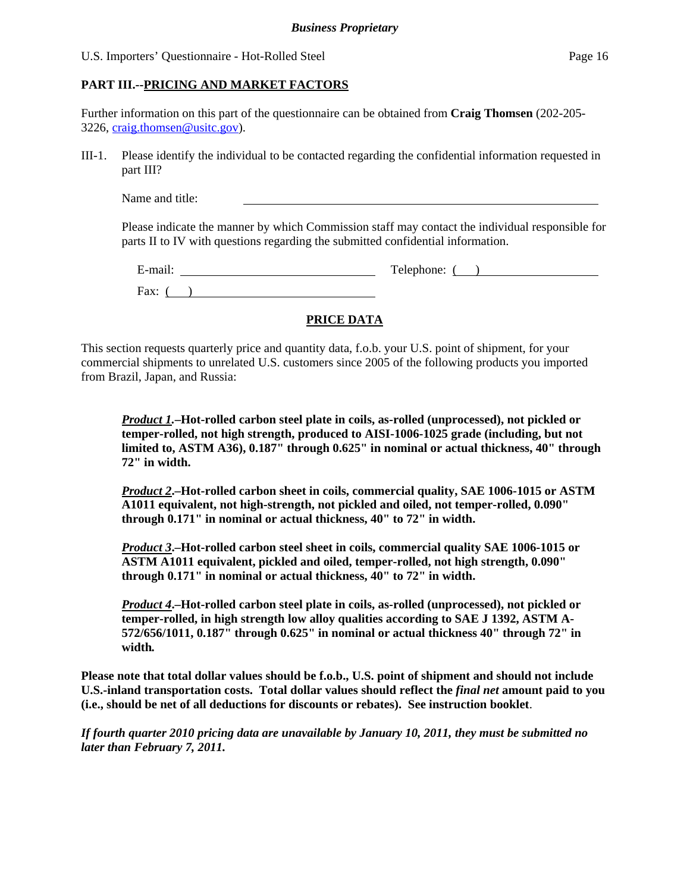#### **PART III.--PRICING AND MARKET FACTORS**

Further information on this part of the questionnaire can be obtained from **Craig Thomsen** (202-205- 3226, craig.thomsen@usitc.gov).

III-1. Please identify the individual to be contacted regarding the confidential information requested in part III?

Name and title:

Please indicate the manner by which Commission staff may contact the individual responsible for parts II to IV with questions regarding the submitted confidential information.

| $\bullet$ $\bullet$<br>∃-mail. | Telephone: |
|--------------------------------|------------|
| Fax:                           |            |

### **PRICE DATA**

This section requests quarterly price and quantity data, f.o.b. your U.S. point of shipment, for your commercial shipments to unrelated U.S. customers since 2005 of the following products you imported from Brazil, Japan, and Russia:

*Product 1.***–Hot-rolled carbon steel plate in coils, as-rolled (unprocessed), not pickled or temper-rolled, not high strength, produced to AISI-1006-1025 grade (including, but not limited to, ASTM A36), 0.187" through 0.625" in nominal or actual thickness, 40" through 72" in width.**

*Product 2***.–Hot-rolled carbon sheet in coils, commercial quality, SAE 1006-1015 or ASTM A1011 equivalent, not high-strength, not pickled and oiled, not temper-rolled, 0.090" through 0.171" in nominal or actual thickness, 40" to 72" in width.**

*Product 3***.–Hot-rolled carbon steel sheet in coils, commercial quality SAE 1006-1015 or ASTM A1011 equivalent, pickled and oiled, temper-rolled, not high strength, 0.090" through 0.171" in nominal or actual thickness, 40" to 72" in width.**

*Product 4***.–Hot-rolled carbon steel plate in coils, as-rolled (unprocessed), not pickled or temper-rolled, in high strength low alloy qualities according to SAE J 1392, ASTM A-572/656/1011, 0.187" through 0.625" in nominal or actual thickness 40" through 72" in width***.*

**Please note that total dollar values should be f.o.b., U.S. point of shipment and should not include U.S.-inland transportation costs. Total dollar values should reflect the** *final net* **amount paid to you (i.e., should be net of all deductions for discounts or rebates). See instruction booklet**.

*If fourth quarter 2010 pricing data are unavailable by January 10, 2011, they must be submitted no later than February 7, 2011.*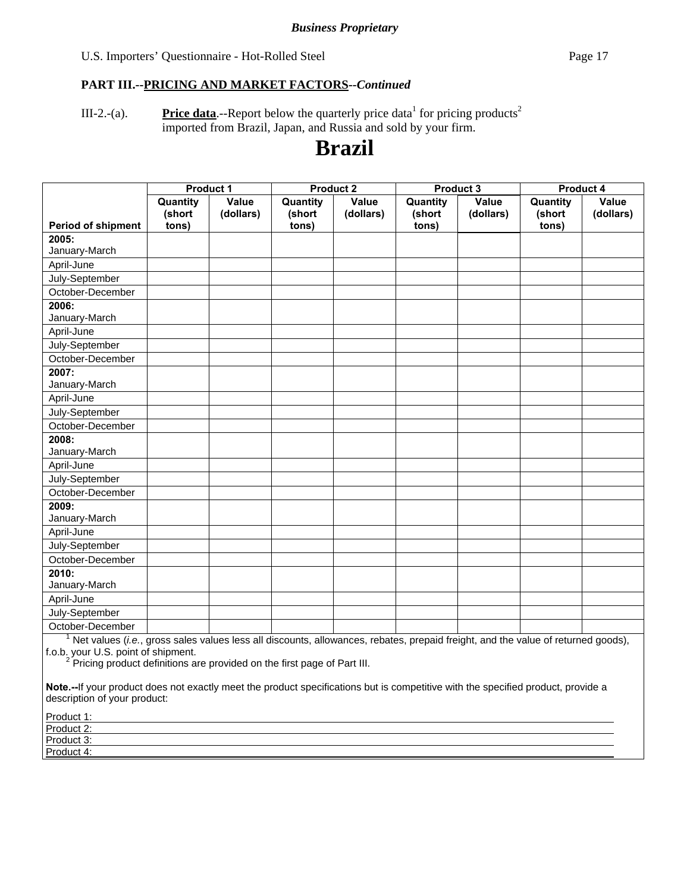#### *Business Proprietary*

#### U.S. Importers' Questionnaire - Hot-Rolled Steel Page 17

#### **PART III.--PRICING AND MARKET FACTORS***--Continued*

III-2.-(a). **Price data**.--Report below the quarterly price data<sup>1</sup> for pricing products<sup>2</sup> imported from Brazil, Japan, and Russia and sold by your firm.

# **Brazil**

|                                                                                                                                  | <b>Product 1</b>   |                    | <b>Product 2</b>   |                    |                    | Product 3          | Product 4          |                    |
|----------------------------------------------------------------------------------------------------------------------------------|--------------------|--------------------|--------------------|--------------------|--------------------|--------------------|--------------------|--------------------|
|                                                                                                                                  | Quantity<br>(short | Value<br>(dollars) | Quantity<br>(short | Value<br>(dollars) | Quantity<br>(short | Value<br>(dollars) | Quantity<br>(short | Value<br>(dollars) |
| <b>Period of shipment</b>                                                                                                        | tons)              |                    | tons)              |                    | tons)              |                    | tons)              |                    |
| 2005:                                                                                                                            |                    |                    |                    |                    |                    |                    |                    |                    |
| January-March                                                                                                                    |                    |                    |                    |                    |                    |                    |                    |                    |
| April-June                                                                                                                       |                    |                    |                    |                    |                    |                    |                    |                    |
| July-September                                                                                                                   |                    |                    |                    |                    |                    |                    |                    |                    |
| October-December                                                                                                                 |                    |                    |                    |                    |                    |                    |                    |                    |
| 2006:                                                                                                                            |                    |                    |                    |                    |                    |                    |                    |                    |
| January-March                                                                                                                    |                    |                    |                    |                    |                    |                    |                    |                    |
| April-June                                                                                                                       |                    |                    |                    |                    |                    |                    |                    |                    |
| July-September                                                                                                                   |                    |                    |                    |                    |                    |                    |                    |                    |
| October-December                                                                                                                 |                    |                    |                    |                    |                    |                    |                    |                    |
| 2007:                                                                                                                            |                    |                    |                    |                    |                    |                    |                    |                    |
| January-March                                                                                                                    |                    |                    |                    |                    |                    |                    |                    |                    |
| April-June                                                                                                                       |                    |                    |                    |                    |                    |                    |                    |                    |
| July-September                                                                                                                   |                    |                    |                    |                    |                    |                    |                    |                    |
| October-December                                                                                                                 |                    |                    |                    |                    |                    |                    |                    |                    |
| 2008:                                                                                                                            |                    |                    |                    |                    |                    |                    |                    |                    |
| January-March                                                                                                                    |                    |                    |                    |                    |                    |                    |                    |                    |
| April-June                                                                                                                       |                    |                    |                    |                    |                    |                    |                    |                    |
| July-September                                                                                                                   |                    |                    |                    |                    |                    |                    |                    |                    |
| October-December                                                                                                                 |                    |                    |                    |                    |                    |                    |                    |                    |
| 2009:                                                                                                                            |                    |                    |                    |                    |                    |                    |                    |                    |
| January-March                                                                                                                    |                    |                    |                    |                    |                    |                    |                    |                    |
| April-June                                                                                                                       |                    |                    |                    |                    |                    |                    |                    |                    |
| July-September                                                                                                                   |                    |                    |                    |                    |                    |                    |                    |                    |
| October-December                                                                                                                 |                    |                    |                    |                    |                    |                    |                    |                    |
| 2010:                                                                                                                            |                    |                    |                    |                    |                    |                    |                    |                    |
| January-March                                                                                                                    |                    |                    |                    |                    |                    |                    |                    |                    |
| April-June                                                                                                                       |                    |                    |                    |                    |                    |                    |                    |                    |
| July-September                                                                                                                   |                    |                    |                    |                    |                    |                    |                    |                    |
| October-December                                                                                                                 |                    |                    |                    |                    |                    |                    |                    |                    |
| Net values (i.e., gross sales values less all discounts, allowances, rebates, prepaid freight, and the value of returned goods), |                    |                    |                    |                    |                    |                    |                    |                    |

f.o.b. your U.S. point of shipment.<br><sup>2</sup> Pricing product definitions are provided on the first page of Part III.

**Note.--**If your product does not exactly meet the product specifications but is competitive with the specified product, provide a description of your product:

| Product 1: |  |
|------------|--|
| Product 2: |  |
| Product 3: |  |
| Product 4: |  |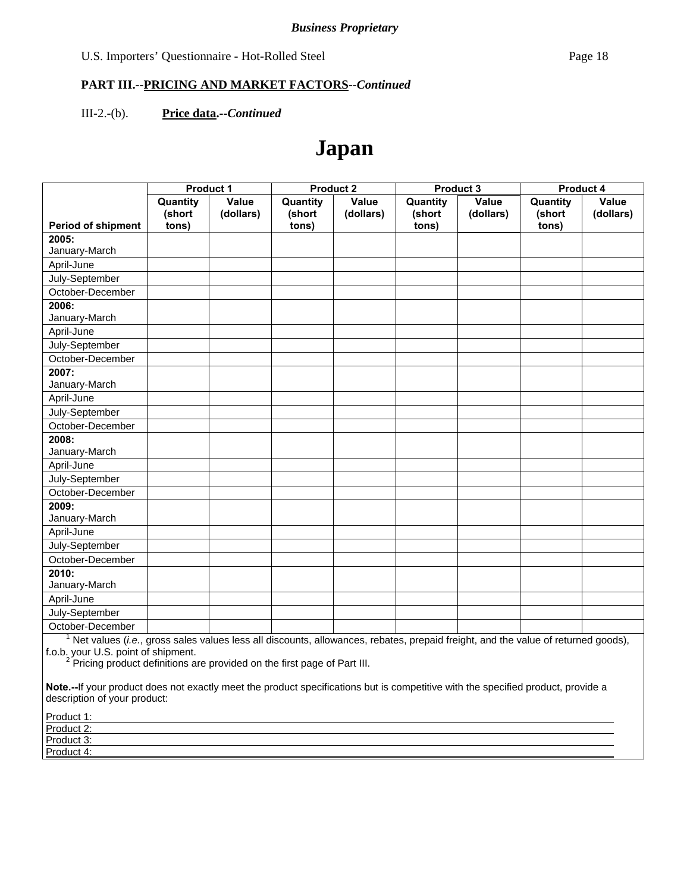III-2.-(b). **Price data.--***Continued*

# **Japan**

|                                                                                                                                  | <b>Product 1</b>   |                    |                    | <b>Product 2</b>   |                    | Product 3          | <b>Product 4</b>   |                    |
|----------------------------------------------------------------------------------------------------------------------------------|--------------------|--------------------|--------------------|--------------------|--------------------|--------------------|--------------------|--------------------|
|                                                                                                                                  | Quantity<br>(short | Value<br>(dollars) | Quantity<br>(short | Value<br>(dollars) | Quantity<br>(short | Value<br>(dollars) | Quantity<br>(short | Value<br>(dollars) |
| <b>Period of shipment</b>                                                                                                        | tons)              |                    | tons)              |                    | tons)              |                    | tons)              |                    |
| 2005:                                                                                                                            |                    |                    |                    |                    |                    |                    |                    |                    |
| January-March                                                                                                                    |                    |                    |                    |                    |                    |                    |                    |                    |
| April-June                                                                                                                       |                    |                    |                    |                    |                    |                    |                    |                    |
| July-September                                                                                                                   |                    |                    |                    |                    |                    |                    |                    |                    |
| October-December                                                                                                                 |                    |                    |                    |                    |                    |                    |                    |                    |
| 2006:                                                                                                                            |                    |                    |                    |                    |                    |                    |                    |                    |
| January-March                                                                                                                    |                    |                    |                    |                    |                    |                    |                    |                    |
| April-June                                                                                                                       |                    |                    |                    |                    |                    |                    |                    |                    |
| July-September                                                                                                                   |                    |                    |                    |                    |                    |                    |                    |                    |
| October-December                                                                                                                 |                    |                    |                    |                    |                    |                    |                    |                    |
| 2007:                                                                                                                            |                    |                    |                    |                    |                    |                    |                    |                    |
| January-March                                                                                                                    |                    |                    |                    |                    |                    |                    |                    |                    |
| April-June                                                                                                                       |                    |                    |                    |                    |                    |                    |                    |                    |
| July-September                                                                                                                   |                    |                    |                    |                    |                    |                    |                    |                    |
| October-December                                                                                                                 |                    |                    |                    |                    |                    |                    |                    |                    |
| 2008:                                                                                                                            |                    |                    |                    |                    |                    |                    |                    |                    |
| January-March                                                                                                                    |                    |                    |                    |                    |                    |                    |                    |                    |
| April-June                                                                                                                       |                    |                    |                    |                    |                    |                    |                    |                    |
| July-September                                                                                                                   |                    |                    |                    |                    |                    |                    |                    |                    |
| October-December                                                                                                                 |                    |                    |                    |                    |                    |                    |                    |                    |
| 2009:                                                                                                                            |                    |                    |                    |                    |                    |                    |                    |                    |
| January-March                                                                                                                    |                    |                    |                    |                    |                    |                    |                    |                    |
| April-June                                                                                                                       |                    |                    |                    |                    |                    |                    |                    |                    |
| July-September                                                                                                                   |                    |                    |                    |                    |                    |                    |                    |                    |
| October-December                                                                                                                 |                    |                    |                    |                    |                    |                    |                    |                    |
| 2010:                                                                                                                            |                    |                    |                    |                    |                    |                    |                    |                    |
| January-March                                                                                                                    |                    |                    |                    |                    |                    |                    |                    |                    |
| April-June                                                                                                                       |                    |                    |                    |                    |                    |                    |                    |                    |
| July-September                                                                                                                   |                    |                    |                    |                    |                    |                    |                    |                    |
| October-December                                                                                                                 |                    |                    |                    |                    |                    |                    |                    |                    |
| Net values (i.e., gross sales values less all discounts, allowances, rebates, prepaid freight, and the value of returned goods), |                    |                    |                    |                    |                    |                    |                    |                    |

f.o.b. your U.S. point of shipment.<br><sup>2</sup> Pricing product definitions are provided on the first page of Part III.

**Note.--**If your product does not exactly meet the product specifications but is competitive with the specified product, provide a description of your product:

| Product 1: |  |
|------------|--|
| Product 2: |  |
| Product 3: |  |
| Product 4: |  |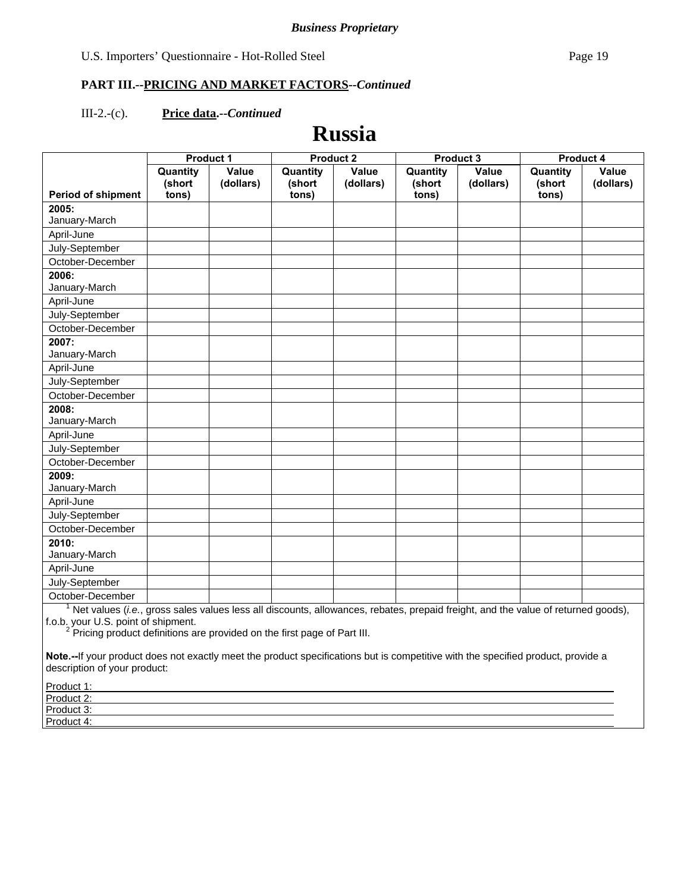#### III-2.-(c). **Price data.--***Continued*

# **Russia**

|                           | <b>Product 1</b>            |                    | <b>Product 2</b>            |                    |                             | <b>Product 3</b>   | <b>Product 4</b>            |                    |
|---------------------------|-----------------------------|--------------------|-----------------------------|--------------------|-----------------------------|--------------------|-----------------------------|--------------------|
| <b>Period of shipment</b> | Quantity<br>(short<br>tons) | Value<br>(dollars) | Quantity<br>(short<br>tons) | Value<br>(dollars) | Quantity<br>(short<br>tons) | Value<br>(dollars) | Quantity<br>(short<br>tons) | Value<br>(dollars) |
| 2005:                     |                             |                    |                             |                    |                             |                    |                             |                    |
| January-March             |                             |                    |                             |                    |                             |                    |                             |                    |
| April-June                |                             |                    |                             |                    |                             |                    |                             |                    |
| July-September            |                             |                    |                             |                    |                             |                    |                             |                    |
| October-December          |                             |                    |                             |                    |                             |                    |                             |                    |
| 2006:                     |                             |                    |                             |                    |                             |                    |                             |                    |
| January-March             |                             |                    |                             |                    |                             |                    |                             |                    |
| April-June                |                             |                    |                             |                    |                             |                    |                             |                    |
| July-September            |                             |                    |                             |                    |                             |                    |                             |                    |
| October-December          |                             |                    |                             |                    |                             |                    |                             |                    |
| 2007:                     |                             |                    |                             |                    |                             |                    |                             |                    |
| January-March             |                             |                    |                             |                    |                             |                    |                             |                    |
| April-June                |                             |                    |                             |                    |                             |                    |                             |                    |
| July-September            |                             |                    |                             |                    |                             |                    |                             |                    |
| October-December          |                             |                    |                             |                    |                             |                    |                             |                    |
| 2008:                     |                             |                    |                             |                    |                             |                    |                             |                    |
| January-March             |                             |                    |                             |                    |                             |                    |                             |                    |
| April-June                |                             |                    |                             |                    |                             |                    |                             |                    |
| July-September            |                             |                    |                             |                    |                             |                    |                             |                    |
| October-December          |                             |                    |                             |                    |                             |                    |                             |                    |
| 2009:                     |                             |                    |                             |                    |                             |                    |                             |                    |
| January-March             |                             |                    |                             |                    |                             |                    |                             |                    |
| April-June                |                             |                    |                             |                    |                             |                    |                             |                    |
| July-September            |                             |                    |                             |                    |                             |                    |                             |                    |
| October-December          |                             |                    |                             |                    |                             |                    |                             |                    |
| 2010:                     |                             |                    |                             |                    |                             |                    |                             |                    |
| January-March             |                             |                    |                             |                    |                             |                    |                             |                    |
| April-June                |                             |                    |                             |                    |                             |                    |                             |                    |
| July-September            |                             |                    |                             |                    |                             |                    |                             |                    |
| October-December          |                             |                    |                             |                    |                             |                    |                             |                    |

October-December 1 Net values (*i.e.*, gross sales values less all discounts, allowances, rebates, prepaid freight, and the value of returned goods),

f.o.b. your U.S. point of shipment.<br><sup>2</sup> Pricing product definitions are provided on the first page of Part III.

**Note.--**If your product does not exactly meet the product specifications but is competitive with the specified product, provide a description of your product:

| Product 1:                 |  |  |
|----------------------------|--|--|
| Product 2:                 |  |  |
| Product 3:<br><b>TOUUL</b> |  |  |
| Product 4:                 |  |  |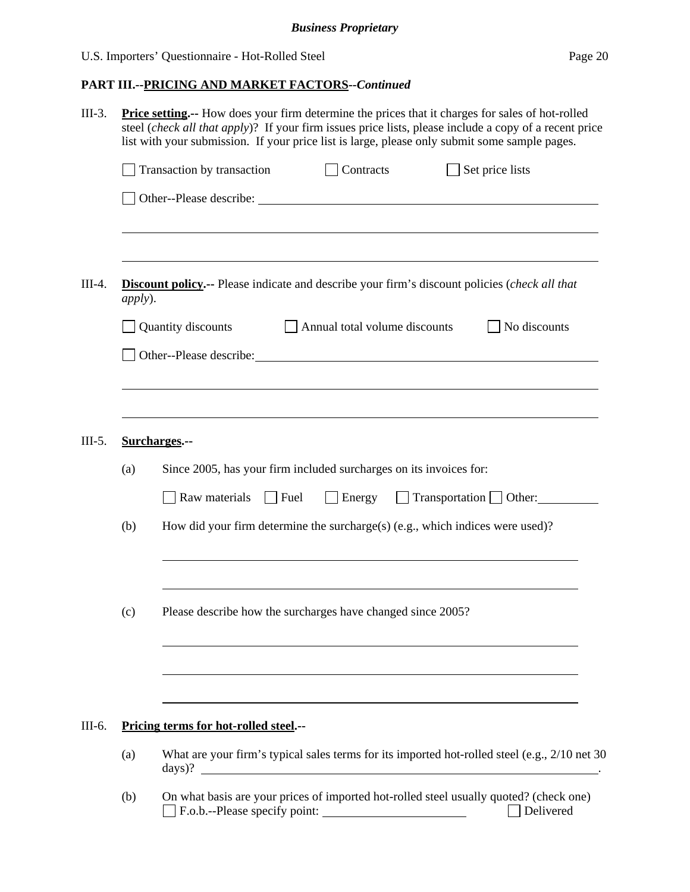|                 | <b>Price setting.</b> -- How does your firm determine the prices that it charges for sales of hot-rolled<br>steel (check all that apply)? If your firm issues price lists, please include a copy of a recent price<br>list with your submission. If your price list is large, please only submit some sample pages. |
|-----------------|---------------------------------------------------------------------------------------------------------------------------------------------------------------------------------------------------------------------------------------------------------------------------------------------------------------------|
|                 | $\Box$ Set price lists<br>Transaction by transaction<br>Contracts                                                                                                                                                                                                                                                   |
|                 |                                                                                                                                                                                                                                                                                                                     |
| <i>apply</i> ). | <b>Discount policy.--</b> Please indicate and describe your firm's discount policies (check all that                                                                                                                                                                                                                |
|                 | Quantity discounts<br>Annual total volume discounts<br>No discounts                                                                                                                                                                                                                                                 |
|                 | Other--Please describe: <u>contract and the set of the set of the set of the set of the set of the set of the set of the set of the set of the set of the set of the set of the set of the set of the set of the set of the set </u>                                                                                |
|                 |                                                                                                                                                                                                                                                                                                                     |
|                 |                                                                                                                                                                                                                                                                                                                     |
|                 | Surcharges.--                                                                                                                                                                                                                                                                                                       |
| (a)             | Since 2005, has your firm included surcharges on its invoices for:                                                                                                                                                                                                                                                  |
|                 | $\Box$ Fuel<br>Energy Transportation Other:<br>Raw materials                                                                                                                                                                                                                                                        |
| (b)             | How did your firm determine the surcharge(s) (e.g., which indices were used)?                                                                                                                                                                                                                                       |
|                 |                                                                                                                                                                                                                                                                                                                     |
| (c)             | Please describe how the surcharges have changed since 2005?                                                                                                                                                                                                                                                         |
|                 |                                                                                                                                                                                                                                                                                                                     |
|                 |                                                                                                                                                                                                                                                                                                                     |
|                 | Pricing terms for hot-rolled steel.--                                                                                                                                                                                                                                                                               |
| (a)             | What are your firm's typical sales terms for its imported hot-rolled steel (e.g., 2/10 net 30)<br>days)?                                                                                                                                                                                                            |
| (b)             | On what basis are your prices of imported hot-rolled steel usually quoted? (check one)<br>F.o.b.--Please specify point:<br>Delivered                                                                                                                                                                                |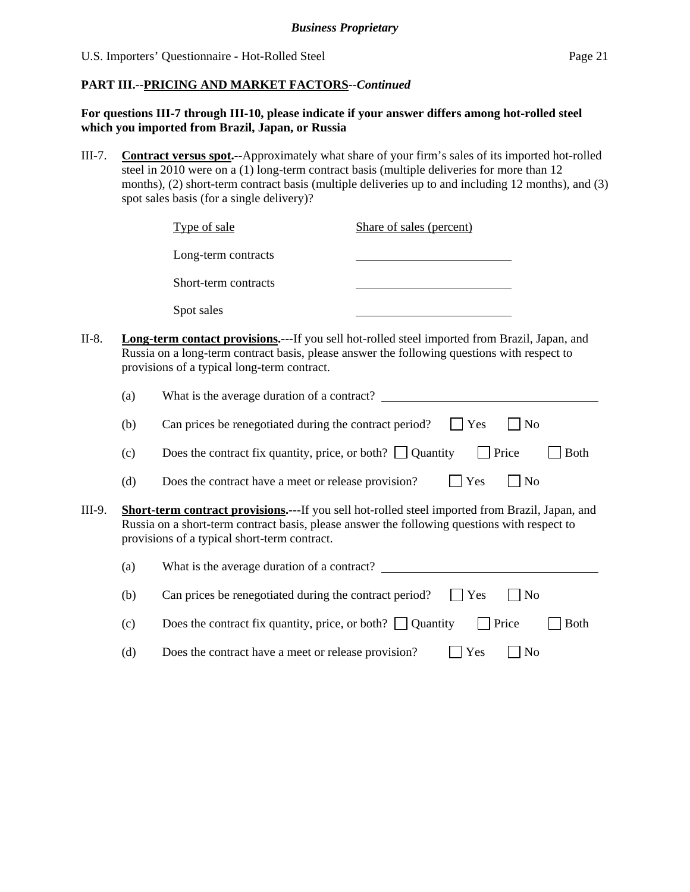#### **For questions III-7 through III-10, please indicate if your answer differs among hot-rolled steel which you imported from Brazil, Japan, or Russia**

III-7. **Contract versus spot.--**Approximately what share of your firm's sales of its imported hot-rolled steel in 2010 were on a (1) long-term contract basis (multiple deliveries for more than 12 months), (2) short-term contract basis (multiple deliveries up to and including 12 months), and (3) spot sales basis (for a single delivery)?

|        |     | Type of sale                                                    | Share of sales (percent)                                                                                                                                                                        |
|--------|-----|-----------------------------------------------------------------|-------------------------------------------------------------------------------------------------------------------------------------------------------------------------------------------------|
|        |     | Long-term contracts                                             |                                                                                                                                                                                                 |
|        |     | Short-term contracts                                            |                                                                                                                                                                                                 |
|        |     | Spot sales                                                      |                                                                                                                                                                                                 |
| II-8.  |     | provisions of a typical long-term contract.                     | Long-term contact provisions.--- If you sell hot-rolled steel imported from Brazil, Japan, and<br>Russia on a long-term contract basis, please answer the following questions with respect to   |
|        | (a) |                                                                 |                                                                                                                                                                                                 |
|        | (b) | Can prices be renegotiated during the contract period?          | Yes<br>N <sub>o</sub>                                                                                                                                                                           |
|        | (c) | Does the contract fix quantity, price, or both? $\Box$ Quantity | $\Box$ Price<br><b>Both</b>                                                                                                                                                                     |
|        | (d) | Does the contract have a meet or release provision?             | Yes<br>$ $ No                                                                                                                                                                                   |
| III-9. |     | provisions of a typical short-term contract.                    | Short-term contract provisions.---If you sell hot-rolled steel imported from Brazil, Japan, and<br>Russia on a short-term contract basis, please answer the following questions with respect to |
|        | (a) |                                                                 | What is the average duration of a contract?                                                                                                                                                     |
|        | (b) | Can prices be renegotiated during the contract period?          | Yes<br>$ $ No                                                                                                                                                                                   |
|        | (c) | Does the contract fix quantity, price, or both? $\Box$ Quantity | Price<br><b>Both</b>                                                                                                                                                                            |

(d) Does the contract have a meet or release provision?  $\Box$  Yes  $\Box$  No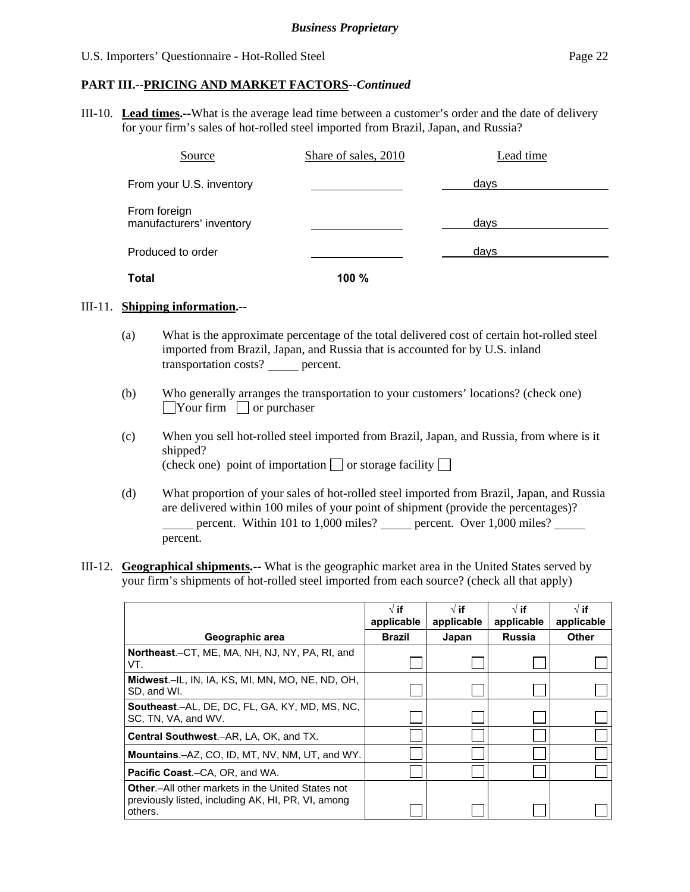#### **PART III.--PRICING AND MARKET FACTORS***--Continued*

III-10. **Lead times.--**What is the average lead time between a customer's order and the date of delivery for your firm's sales of hot-rolled steel imported from Brazil, Japan, and Russia?

| Source                                   | Share of sales, 2010 | Lead time |
|------------------------------------------|----------------------|-----------|
| From your U.S. inventory                 |                      | days      |
| From foreign<br>manufacturers' inventory |                      | days      |
| Produced to order                        |                      | days      |
| Total                                    | 100%                 |           |

#### III-11. **Shipping information.--**

- (a) What is the approximate percentage of the total delivered cost of certain hot-rolled steel imported from Brazil, Japan, and Russia that is accounted for by U.S. inland transportation costs? percent.
- (b) Who generally arranges the transportation to your customers' locations? (check one)  $\Box$ Your firm  $\Box$  or purchaser
- (c) When you sell hot-rolled steel imported from Brazil, Japan, and Russia, from where is it shipped? (check one) point of importation  $\Box$  or storage facility  $\Box$
- (d) What proportion of your sales of hot-rolled steel imported from Brazil, Japan, and Russia are delivered within 100 miles of your point of shipment (provide the percentages)? percent. Within 101 to 1,000 miles? percent. Over 1,000 miles? percent.
- III-12. **Geographical shipments.--** What is the geographic market area in the United States served by your firm's shipments of hot-rolled steel imported from each source? (check all that apply)

|                                                                                                                            | $\sqrt{ }$ if<br>applicable | $\sqrt{ }$ if<br>applicable | $\sqrt{ }$ if<br>applicable | $\sqrt{ }$ if<br>applicable |
|----------------------------------------------------------------------------------------------------------------------------|-----------------------------|-----------------------------|-----------------------------|-----------------------------|
| Geographic area                                                                                                            | <b>Brazil</b>               | Japan                       | <b>Russia</b>               | <b>Other</b>                |
| Northeast.-CT, ME, MA, NH, NJ, NY, PA, RI, and<br>VT.                                                                      |                             |                             |                             |                             |
| Midwest.-IL, IN, IA, KS, MI, MN, MO, NE, ND, OH,<br>SD, and WI.                                                            |                             |                             |                             |                             |
| <b>Southeast.-AL, DE, DC, FL, GA, KY, MD, MS, NC,</b><br>SC, TN, VA, and WV.                                               |                             |                             |                             |                             |
| Central Southwest.-AR, LA, OK, and TX.                                                                                     |                             |                             |                             |                             |
| <b>Mountains.-AZ, CO, ID, MT, NV, NM, UT, and WY.</b>                                                                      |                             |                             |                             |                             |
| <b>Pacific Coast.–CA, OR, and WA.</b>                                                                                      |                             |                             |                             |                             |
| <b>Other.</b> -All other markets in the United States not<br>previously listed, including AK, HI, PR, VI, among<br>others. |                             |                             |                             |                             |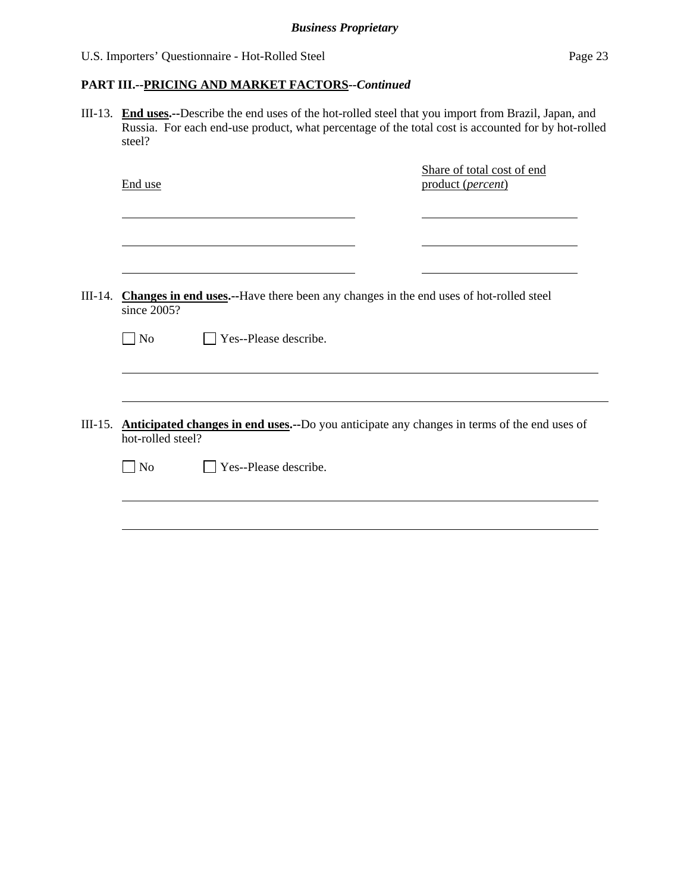### **PART III.--PRICING AND MARKET FACTORS***--Continued*

III-13. **End uses.--**Describe the end uses of the hot-rolled steel that you import from Brazil, Japan, and Russia. For each end-use product, what percentage of the total cost is accounted for by hot-rolled steel?

|         | End use                     |                                                                                       | Share of total cost of end<br>product (percent)                                             |
|---------|-----------------------------|---------------------------------------------------------------------------------------|---------------------------------------------------------------------------------------------|
|         |                             |                                                                                       |                                                                                             |
| III-14. | since 2005?                 | Changes in end uses.--Have there been any changes in the end uses of hot-rolled steel |                                                                                             |
|         | $\vert$ No                  | Yes--Please describe.                                                                 |                                                                                             |
|         |                             |                                                                                       |                                                                                             |
| III-15. | hot-rolled steel?           |                                                                                       | Anticipated changes in end uses.--Do you anticipate any changes in terms of the end uses of |
|         | $\overline{\phantom{a}}$ No | Yes--Please describe.                                                                 |                                                                                             |
|         |                             |                                                                                       |                                                                                             |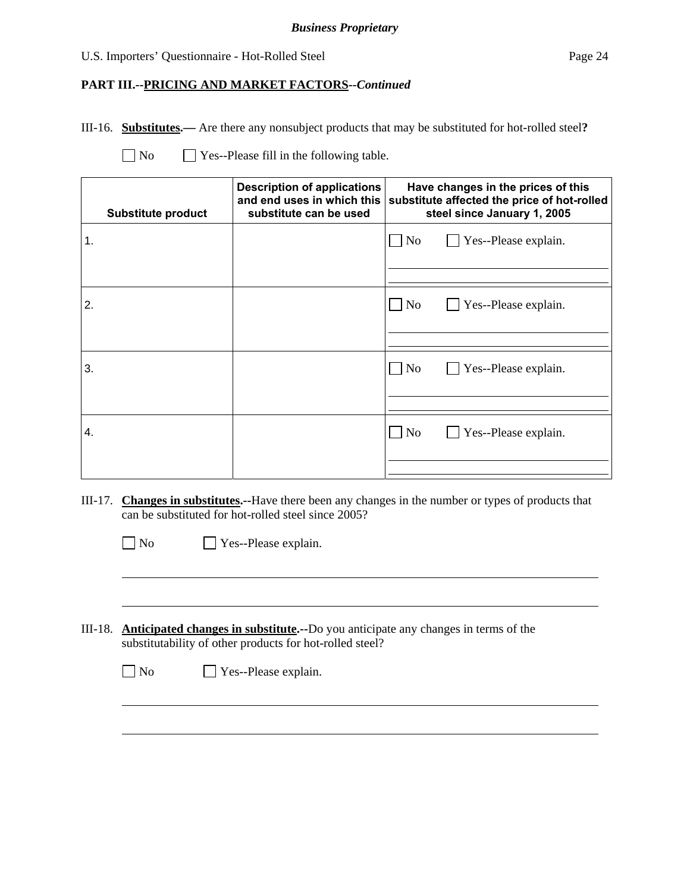#### *Business Proprietary*

#### U.S. Importers' Questionnaire - Hot-Rolled Steel Page 24

#### **PART III.--PRICING AND MARKET FACTORS***--Continued*

III-16. **Substitutes.—** Are there any nonsubject products that may be substituted for hot-rolled steel**?**

 $\overline{a}$ 

 $\overline{a}$ 

 $\Box$  Yes--Please fill in the following table.

|    | Substitute product | <b>Description of applications</b><br>and end uses in which this<br>substitute can be used | Have changes in the prices of this<br>substitute affected the price of hot-rolled<br>steel since January 1, 2005 |
|----|--------------------|--------------------------------------------------------------------------------------------|------------------------------------------------------------------------------------------------------------------|
| 1. |                    |                                                                                            | $\Box$ Yes--Please explain.<br>$\Box$ No                                                                         |
| 2. |                    |                                                                                            | $\overline{\rm No}$<br>$\Box$ Yes--Please explain.                                                               |
|    |                    |                                                                                            |                                                                                                                  |
| 3. |                    |                                                                                            | $\Box$ Yes--Please explain.<br>$\overline{N_{0}}$                                                                |
| 4. |                    |                                                                                            | $\Box$ Yes--Please explain.<br>$\overline{N_{0}}$                                                                |
|    |                    |                                                                                            |                                                                                                                  |

III-17. **Changes in substitutes.--**Have there been any changes in the number or types of products that can be substituted for hot-rolled steel since 2005?

No Yes--Please explain.

III-18. **Anticipated changes in substitute.--**Do you anticipate any changes in terms of the substitutability of other products for hot-rolled steel?

No Yes--Please explain.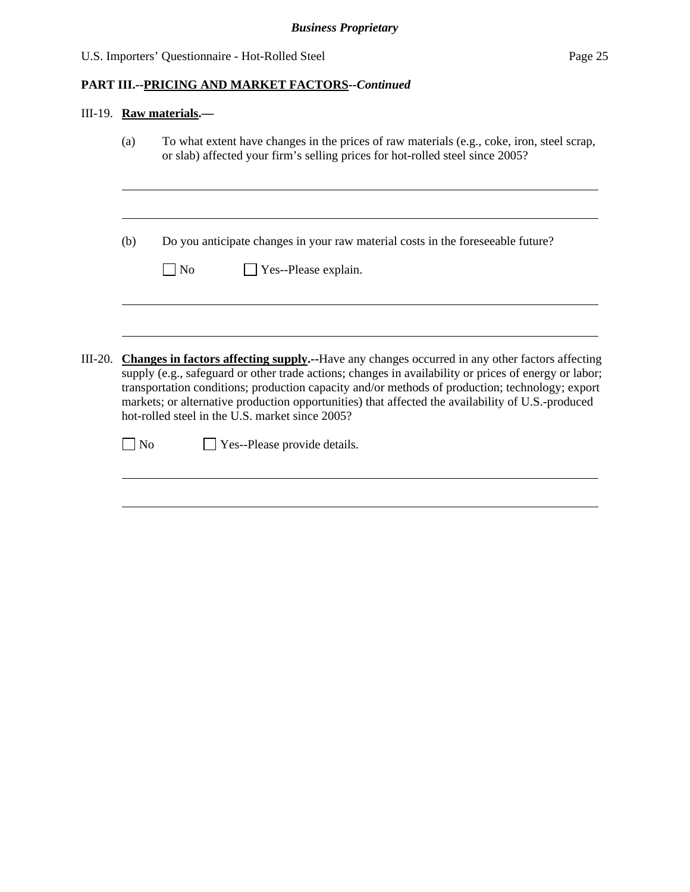|           |        | III-19. Raw materials.-                                                                                                                                                                                                                                                                                                                                                                                                                                                                            |
|-----------|--------|----------------------------------------------------------------------------------------------------------------------------------------------------------------------------------------------------------------------------------------------------------------------------------------------------------------------------------------------------------------------------------------------------------------------------------------------------------------------------------------------------|
|           | (a)    | To what extent have changes in the prices of raw materials (e.g., coke, iron, steel scrap,<br>or slab) affected your firm's selling prices for hot-rolled steel since 2005?                                                                                                                                                                                                                                                                                                                        |
|           | (b)    | Do you anticipate changes in your raw material costs in the foreseeable future?<br>Yes--Please explain.<br>  No                                                                                                                                                                                                                                                                                                                                                                                    |
| $III-20.$ | $\log$ | Changes in factors affecting supply.--Have any changes occurred in any other factors affecting<br>supply (e.g., safeguard or other trade actions; changes in availability or prices of energy or labor;<br>transportation conditions; production capacity and/or methods of production; technology; export<br>markets; or alternative production opportunities) that affected the availability of U.S.-produced<br>hot-rolled steel in the U.S. market since 2005?<br>Yes--Please provide details. |
|           |        |                                                                                                                                                                                                                                                                                                                                                                                                                                                                                                    |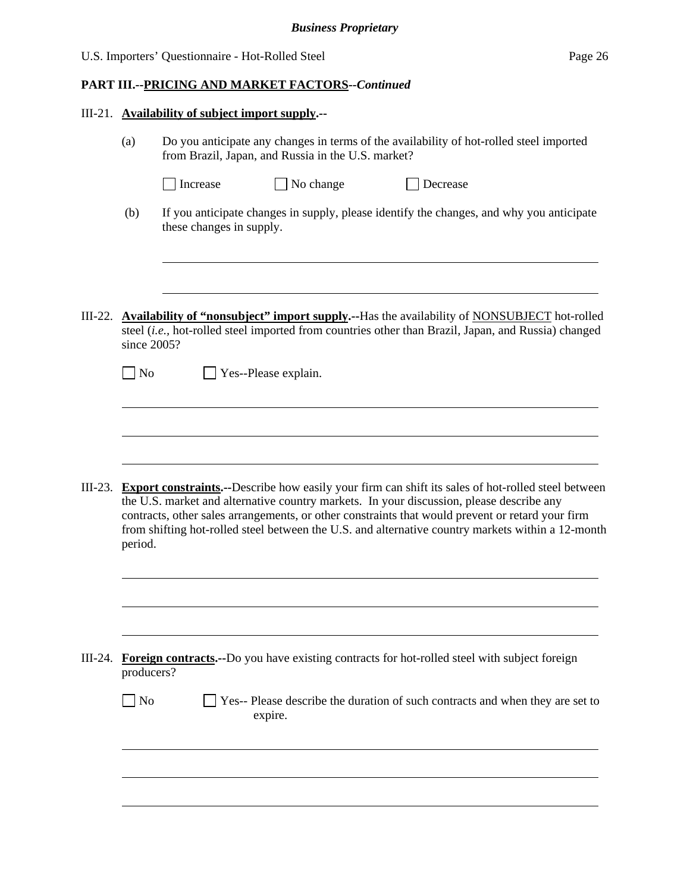| U.S. Importers' Questionnaire - Hot-Rolled Steel | Page 26 |
|--------------------------------------------------|---------|
|--------------------------------------------------|---------|

| III-21. Availability of subject import supply.-- |
|--------------------------------------------------|
|--------------------------------------------------|

l

l

|         | (a)<br>Do you anticipate any changes in terms of the availability of hot-rolled steel imported<br>from Brazil, Japan, and Russia in the U.S. market? |                          |                      |                                                                                                                                                                                                                                                                                                                                                                                                                 |
|---------|------------------------------------------------------------------------------------------------------------------------------------------------------|--------------------------|----------------------|-----------------------------------------------------------------------------------------------------------------------------------------------------------------------------------------------------------------------------------------------------------------------------------------------------------------------------------------------------------------------------------------------------------------|
|         |                                                                                                                                                      | Increase                 | No change            | Decrease                                                                                                                                                                                                                                                                                                                                                                                                        |
|         | (b)                                                                                                                                                  | these changes in supply. |                      | If you anticipate changes in supply, please identify the changes, and why you anticipate                                                                                                                                                                                                                                                                                                                        |
|         |                                                                                                                                                      |                          |                      |                                                                                                                                                                                                                                                                                                                                                                                                                 |
| III-22. | since 2005?                                                                                                                                          |                          |                      | <b>Availability of "nonsubject" import supply.</b> --Has the availability of NONSUBJECT hot-rolled<br>steel (i.e., hot-rolled steel imported from countries other than Brazil, Japan, and Russia) changed                                                                                                                                                                                                       |
|         | $\overline{N_{0}}$                                                                                                                                   |                          | Yes--Please explain. |                                                                                                                                                                                                                                                                                                                                                                                                                 |
|         |                                                                                                                                                      |                          |                      |                                                                                                                                                                                                                                                                                                                                                                                                                 |
|         |                                                                                                                                                      |                          |                      |                                                                                                                                                                                                                                                                                                                                                                                                                 |
| III-23. | period.                                                                                                                                              |                          |                      | <b>Export constraints.</b> --Describe how easily your firm can shift its sales of hot-rolled steel between<br>the U.S. market and alternative country markets. In your discussion, please describe any<br>contracts, other sales arrangements, or other constraints that would prevent or retard your firm<br>from shifting hot-rolled steel between the U.S. and alternative country markets within a 12-month |

| III-24. Foreign contracts.--Do you have existing contracts for hot-rolled steel with subject foreign |
|------------------------------------------------------------------------------------------------------|
| producers?                                                                                           |

| No | $\Box$ Yes-- Please describe the duration of such contracts and when they are set to |
|----|--------------------------------------------------------------------------------------|
|    | expire.                                                                              |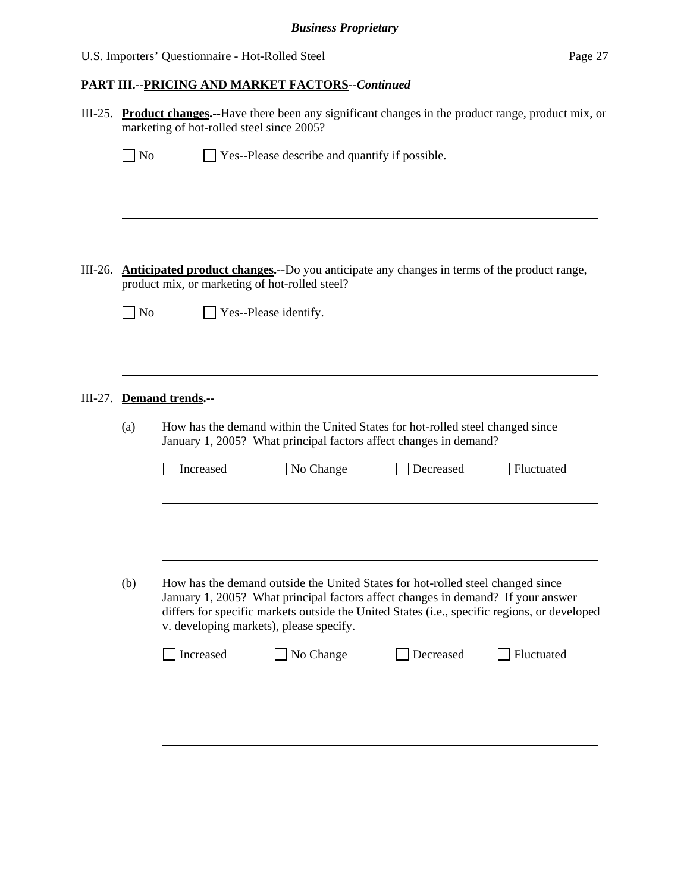|           | III-25. Product changes.--Have there been any significant changes in the product range, product mix, or<br>marketing of hot-rolled steel since 2005? |                                                                                                                                                     |                                                                                                                                                                                                                                                                                                                |           |            |  |  |
|-----------|------------------------------------------------------------------------------------------------------------------------------------------------------|-----------------------------------------------------------------------------------------------------------------------------------------------------|----------------------------------------------------------------------------------------------------------------------------------------------------------------------------------------------------------------------------------------------------------------------------------------------------------------|-----------|------------|--|--|
|           | $\sqrt{\phantom{a}}$ No                                                                                                                              | $\Box$ Yes--Please describe and quantify if possible.                                                                                               |                                                                                                                                                                                                                                                                                                                |           |            |  |  |
|           |                                                                                                                                                      |                                                                                                                                                     |                                                                                                                                                                                                                                                                                                                |           |            |  |  |
|           |                                                                                                                                                      |                                                                                                                                                     |                                                                                                                                                                                                                                                                                                                |           |            |  |  |
| $III-26.$ | Anticipated product changes.--Do you anticipate any changes in terms of the product range,<br>product mix, or marketing of hot-rolled steel?         |                                                                                                                                                     |                                                                                                                                                                                                                                                                                                                |           |            |  |  |
|           | $\blacksquare$ No                                                                                                                                    |                                                                                                                                                     | Yes--Please identify.                                                                                                                                                                                                                                                                                          |           |            |  |  |
|           |                                                                                                                                                      |                                                                                                                                                     |                                                                                                                                                                                                                                                                                                                |           |            |  |  |
| $III-27.$ | <b>Demand trends.--</b>                                                                                                                              |                                                                                                                                                     |                                                                                                                                                                                                                                                                                                                |           |            |  |  |
|           | (a)                                                                                                                                                  | How has the demand within the United States for hot-rolled steel changed since<br>January 1, 2005? What principal factors affect changes in demand? |                                                                                                                                                                                                                                                                                                                |           |            |  |  |
|           |                                                                                                                                                      | Increased                                                                                                                                           | No Change                                                                                                                                                                                                                                                                                                      | Decreased | Fluctuated |  |  |
|           |                                                                                                                                                      |                                                                                                                                                     |                                                                                                                                                                                                                                                                                                                |           |            |  |  |
|           | (b)                                                                                                                                                  |                                                                                                                                                     | How has the demand outside the United States for hot-rolled steel changed since<br>January 1, 2005? What principal factors affect changes in demand? If your answer<br>differs for specific markets outside the United States (i.e., specific regions, or developed<br>v. developing markets), please specify. |           |            |  |  |
|           |                                                                                                                                                      | Increased                                                                                                                                           | No Change                                                                                                                                                                                                                                                                                                      | Decreased | Fluctuated |  |  |
|           |                                                                                                                                                      |                                                                                                                                                     |                                                                                                                                                                                                                                                                                                                |           |            |  |  |
|           |                                                                                                                                                      |                                                                                                                                                     |                                                                                                                                                                                                                                                                                                                |           |            |  |  |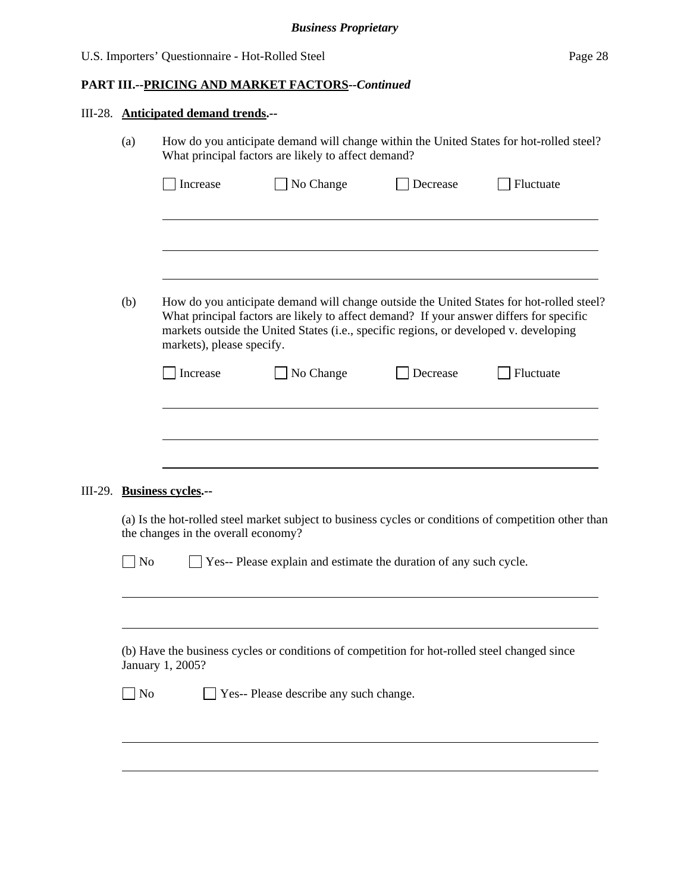| How do you anticipate demand will change within the United States for hot-rolled steel?<br>(a)<br>What principal factors are likely to affect demand? |                                                                                                                                                                                                                                                                                                           |                            |                                      |                                                                                                             |  |  |  |
|-------------------------------------------------------------------------------------------------------------------------------------------------------|-----------------------------------------------------------------------------------------------------------------------------------------------------------------------------------------------------------------------------------------------------------------------------------------------------------|----------------------------|--------------------------------------|-------------------------------------------------------------------------------------------------------------|--|--|--|
|                                                                                                                                                       | Increase                                                                                                                                                                                                                                                                                                  | No Change                  | Decrease                             | Fluctuate                                                                                                   |  |  |  |
|                                                                                                                                                       |                                                                                                                                                                                                                                                                                                           |                            |                                      |                                                                                                             |  |  |  |
|                                                                                                                                                       |                                                                                                                                                                                                                                                                                                           |                            |                                      |                                                                                                             |  |  |  |
| (b)                                                                                                                                                   | How do you anticipate demand will change outside the United States for hot-rolled steel?<br>What principal factors are likely to affect demand? If your answer differs for specific<br>markets outside the United States (i.e., specific regions, or developed v. developing<br>markets), please specify. |                            |                                      |                                                                                                             |  |  |  |
|                                                                                                                                                       | Increase                                                                                                                                                                                                                                                                                                  | No Change                  | Decrease                             | Fluctuate                                                                                                   |  |  |  |
|                                                                                                                                                       |                                                                                                                                                                                                                                                                                                           |                            |                                      |                                                                                                             |  |  |  |
|                                                                                                                                                       |                                                                                                                                                                                                                                                                                                           |                            |                                      |                                                                                                             |  |  |  |
|                                                                                                                                                       |                                                                                                                                                                                                                                                                                                           |                            |                                      |                                                                                                             |  |  |  |
|                                                                                                                                                       | (a) Is the hot-rolled steel market subject to business cycles or conditions of competition other than<br>the changes in the overall economy?                                                                                                                                                              |                            |                                      |                                                                                                             |  |  |  |
| $\vert$ No                                                                                                                                            |                                                                                                                                                                                                                                                                                                           |                            |                                      |                                                                                                             |  |  |  |
|                                                                                                                                                       |                                                                                                                                                                                                                                                                                                           |                            |                                      |                                                                                                             |  |  |  |
| (b) Have the business cycles or conditions of competition for hot-rolled steel changed since<br>January 1, 2005?                                      |                                                                                                                                                                                                                                                                                                           |                            |                                      |                                                                                                             |  |  |  |
| $\overline{N}$                                                                                                                                        |                                                                                                                                                                                                                                                                                                           |                            |                                      |                                                                                                             |  |  |  |
|                                                                                                                                                       |                                                                                                                                                                                                                                                                                                           |                            |                                      |                                                                                                             |  |  |  |
|                                                                                                                                                       |                                                                                                                                                                                                                                                                                                           |                            |                                      |                                                                                                             |  |  |  |
|                                                                                                                                                       |                                                                                                                                                                                                                                                                                                           | III-29. Business cycles.-- | III-28. Anticipated demand trends.-- | Yes-- Please explain and estimate the duration of any such cycle.<br>Yes-- Please describe any such change. |  |  |  |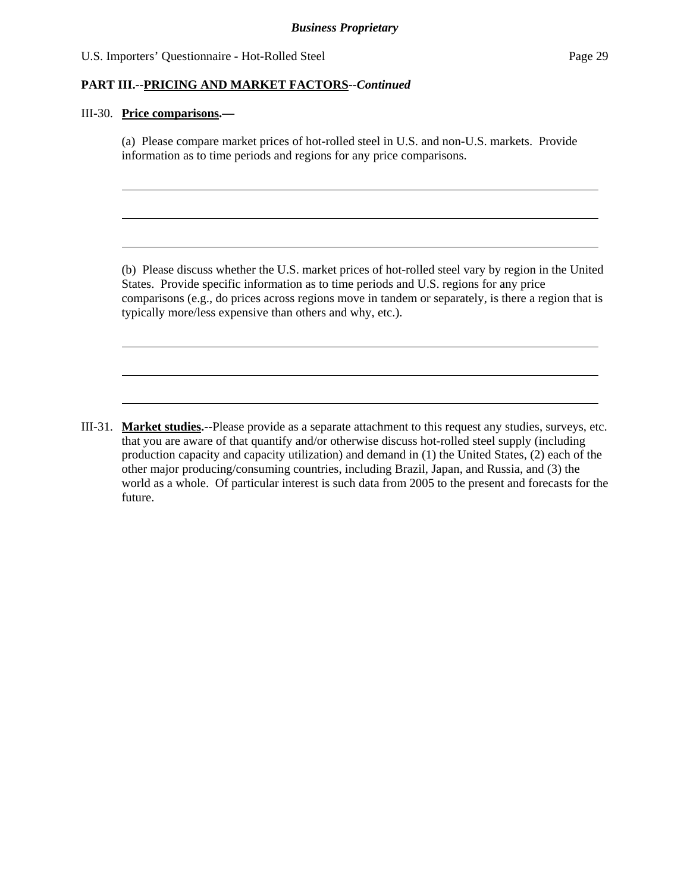#### **PART III.--PRICING AND MARKET FACTORS***--Continued*

#### III-30. **Price comparisons.—**

l

 $\overline{a}$ 

(a) Please compare market prices of hot-rolled steel in U.S. and non-U.S. markets. Provide information as to time periods and regions for any price comparisons.

 (b) Please discuss whether the U.S. market prices of hot-rolled steel vary by region in the United States. Provide specific information as to time periods and U.S. regions for any price comparisons (e.g., do prices across regions move in tandem or separately, is there a region that is typically more/less expensive than others and why, etc.).

III-31. **Market studies.--**Please provide as a separate attachment to this request any studies, surveys, etc. that you are aware of that quantify and/or otherwise discuss hot-rolled steel supply (including production capacity and capacity utilization) and demand in (1) the United States, (2) each of the other major producing/consuming countries, including Brazil, Japan, and Russia, and (3) the world as a whole. Of particular interest is such data from 2005 to the present and forecasts for the future.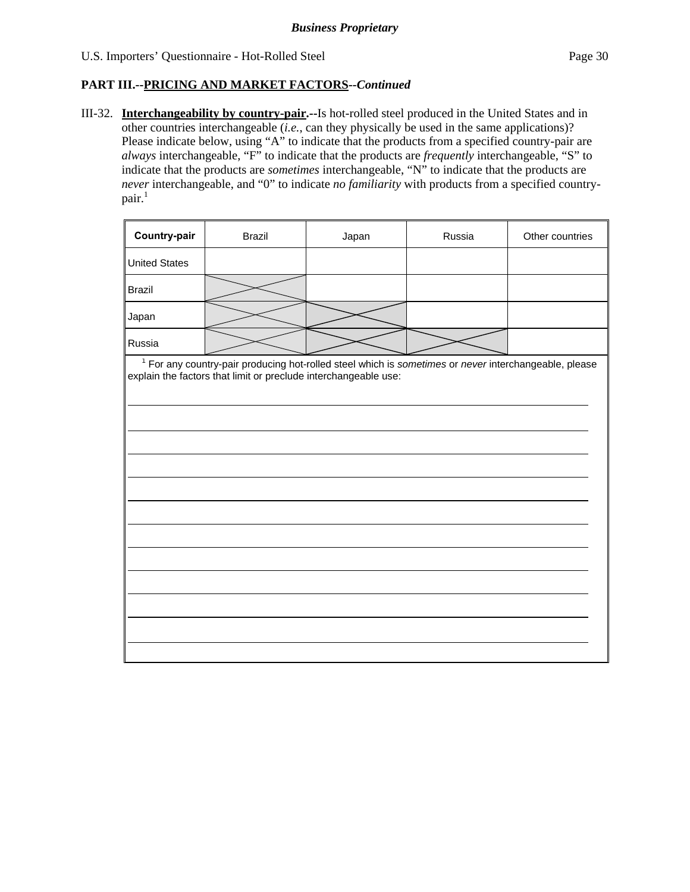III-32. **Interchangeability by country-pair.--**Is hot-rolled steel produced in the United States and in other countries interchangeable (*i.e.*, can they physically be used in the same applications)? Please indicate below, using "A" to indicate that the products from a specified country-pair are *always* interchangeable, "F" to indicate that the products are *frequently* interchangeable, "S" to indicate that the products are *sometimes* interchangeable, "N" to indicate that the products are *never* interchangeable, and "0" to indicate *no familiarity* with products from a specified country $pair.<sup>1</sup>$ 

| Country-pair                                                                                                                                                               | <b>Brazil</b> | Japan | Russia | Other countries |  |
|----------------------------------------------------------------------------------------------------------------------------------------------------------------------------|---------------|-------|--------|-----------------|--|
| <b>United States</b>                                                                                                                                                       |               |       |        |                 |  |
| <b>Brazil</b>                                                                                                                                                              |               |       |        |                 |  |
| Japan                                                                                                                                                                      |               |       |        |                 |  |
| Russia                                                                                                                                                                     |               |       |        |                 |  |
| $1$ For any country-pair producing hot-rolled steel which is sometimes or never interchangeable, please<br>explain the factors that limit or preclude interchangeable use: |               |       |        |                 |  |
|                                                                                                                                                                            |               |       |        |                 |  |